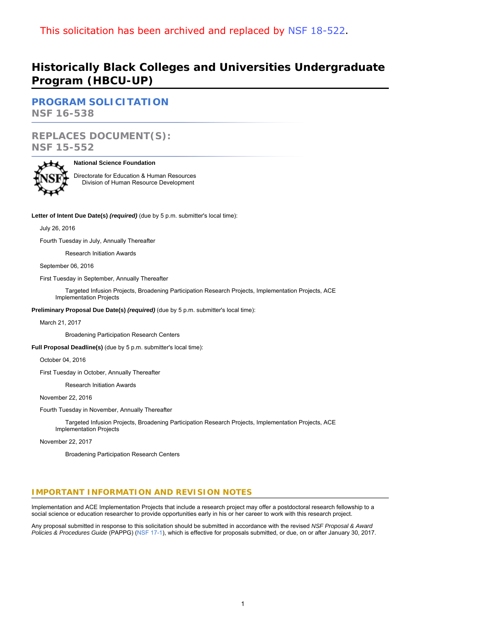## **Historically Black Colleges and Universities Undergraduate Program (HBCU-UP)**

**PROGRAM SOLICITATION NSF 16-538**

# **REPLACES DOCUMENT(S):**

**NSF 15-552**

## **National Science Foundation**

Directorate for Education & Human Resources Division of Human Resource Development

**Letter of Intent Due Date(s)** *(required)* (due by 5 p.m. submitter's local time):

## July 26, 2016

Fourth Tuesday in July, Annually Thereafter

Research Initiation Awards

September 06, 2016

First Tuesday in September, Annually Thereafter

 Targeted Infusion Projects, Broadening Participation Research Projects, Implementation Projects, ACE Implementation Projects

**Preliminary Proposal Due Date(s)** *(required)* (due by 5 p.m. submitter's local time):

March 21, 2017

Broadening Participation Research Centers

**Full Proposal Deadline(s)** (due by 5 p.m. submitter's local time):

October 04, 2016

First Tuesday in October, Annually Thereafter

Research Initiation Awards

November 22, 2016

Fourth Tuesday in November, Annually Thereafter

 Targeted Infusion Projects, Broadening Participation Research Projects, Implementation Projects, ACE Implementation Projects

November 22, 2017

Broadening Participation Research Centers

## **IMPORTANT INFORMATION AND REVISION NOTES**

Implementation and ACE Implementation Projects that include a research project may offer a postdoctoral research fellowship to a social science or education researcher to provide opportunities early in his or her career to work with this research project.

Any proposal submitted in response to this solicitation should be submitted in accordance with the revised *NSF Proposal & Award Policies & Procedures Guide* (PAPPG) ([NSF 17-1\)](https://www.nsf.gov/publications/pub_summ.jsp?ods_key=nsf17001), which is effective for proposals submitted, or due, on or after January 30, 2017.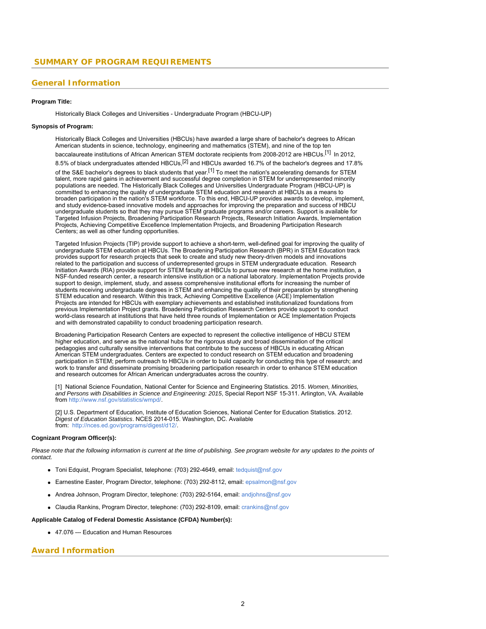## **General Information**

#### **Program Title:**

Historically Black Colleges and Universities - Undergraduate Program (HBCU-UP)

## **Synopsis of Program:**

Historically Black Colleges and Universities (HBCUs) have awarded a large share of bachelor's degrees to African American students in science, technology, engineering and mathematics (STEM), and nine of the top ten baccalaureate institutions of African American STEM doctorate recipients from 2008-2012 are HBCUs.<sup>[1]</sup> In 2012,

8.5% of black undergraduates attended HBCUs,<sup>[2]</sup> and HBCUs awarded 16.7% of the bachelor's degrees and 17.8%

of the S&E bachelor's degrees to black students that year.<sup>[1]</sup> To meet the nation's accelerating demands for STEM talent, more rapid gains in achievement and successful degree completion in STEM for underrepresented minority populations are needed. The Historically Black Colleges and Universities Undergraduate Program (HBCU-UP) is committed to enhancing the quality of undergraduate STEM education and research at HBCUs as a means to broaden participation in the nation's STEM workforce. To this end, HBCU-UP provides awards to develop, implement, and study evidence-based innovative models and approaches for improving the preparation and success of HBCU undergraduate students so that they may pursue STEM graduate programs and/or careers. Support is available for Targeted Infusion Projects, Broadening Participation Research Projects, Research Initiation Awards, Implementation Projects, Achieving Competitive Excellence Implementation Projects, and Broadening Participation Research Centers; as well as other funding opportunities.

Targeted Infusion Projects (TIP) provide support to achieve a short-term, well-defined goal for improving the quality of undergraduate STEM education at HBCUs. The Broadening Participation Research (BPR) in STEM Education track provides support for research projects that seek to create and study new theory-driven models and innovations related to the participation and success of underrepresented groups in STEM undergraduate education. Research Initiation Awards (RIA) provide support for STEM faculty at HBCUs to pursue new research at the home institution, a NSF-funded research center, a research intensive institution or a national laboratory. Implementation Projects provide support to design, implement, study, and assess comprehensive institutional efforts for increasing the number of students receiving undergraduate degrees in STEM and enhancing the quality of their preparation by strengthening STEM education and research. Within this track, Achieving Competitive Excellence (ACE) Implementation Projects are intended for HBCUs with exemplary achievements and established institutionalized foundations from previous Implementation Project grants. Broadening Participation Research Centers provide support to conduct world-class research at institutions that have held three rounds of Implementation or ACE Implementation Projects and with demonstrated capability to conduct broadening participation research.

Broadening Participation Research Centers are expected to represent the collective intelligence of HBCU STEM higher education, and serve as the national hubs for the rigorous study and broad dissemination of the critical pedagogies and culturally sensitive interventions that contribute to the success of HBCUs in educating African American STEM undergraduates. Centers are expected to conduct research on STEM education and broadening participation in STEM; perform outreach to HBCUs in order to build capacity for conducting this type of research; and work to transfer and disseminate promising broadening participation research in order to enhance STEM education and research outcomes for African American undergraduates across the country.

[1] National Science Foundation, National Center for Science and Engineering Statistics. 2015. *Women, Minorities, and Persons with Disabilities in Science and Engineering: 2015*, Special Report NSF 15-311. Arlington, VA. Available from<http://www.nsf.gov/statistics/wmpd/>.

[2] U.S. Department of Education, Institute of Education Sciences, National Center for Education Statistics. 2012. *Digest of Education Statistics*. NCES 2014-015. Washington, DC. Available from: <http://nces.ed.gov/programs/digest/d12/>.

#### **Cognizant Program Officer(s):**

*Please note that the following information is current at the time of publishing. See program website for any updates to the points of contact.*

- Toni Edquist, Program Specialist, telephone: (703) 292-4649, email: [tedquist@nsf.gov](mailto:tedquist@nsf.gov)
- Earnestine Easter, Program Director, telephone: (703) 292-8112, email: [epsalmon@nsf.gov](mailto:epsalmon@nsf.gov)
- Andrea Johnson, Program Director, telephone: (703) 292-5164, email: [andjohns@nsf.gov](mailto:andjohns@nsf.gov)
- Claudia Rankins, Program Director, telephone: (703) 292-8109, email: [crankins@nsf.gov](mailto:crankins@nsf.gov)

## **Applicable Catalog of Federal Domestic Assistance (CFDA) Number(s):**

47.076 --- Education and Human Resources

### **Award Information**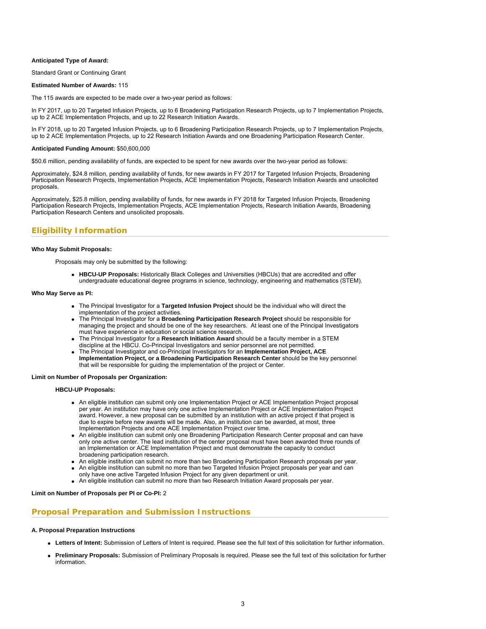#### **Anticipated Type of Award:**

Standard Grant or Continuing Grant

#### **Estimated Number of Awards:** 115

The 115 awards are expected to be made over a two-year period as follows:

In FY 2017, up to 20 Targeted Infusion Projects, up to 6 Broadening Participation Research Projects, up to 7 Implementation Projects, up to 2 ACE Implementation Projects, and up to 22 Research Initiation Awards.

In FY 2018, up to 20 Targeted Infusion Projects, up to 6 Broadening Participation Research Projects, up to 7 Implementation Projects, up to 2 ACE Implementation Projects, up to 22 Research Initiation Awards and one Broadening Participation Research Center.

#### **Anticipated Funding Amount:** \$50,600,000

\$50.6 million, pending availability of funds, are expected to be spent for new awards over the two-year period as follows:

Approximately, \$24.8 million, pending availability of funds, for new awards in FY 2017 for Targeted Infusion Projects, Broadening Participation Research Projects, Implementation Projects, ACE Implementation Projects, Research Initiation Awards and unsolicited proposals.

Approximately, \$25.8 million, pending availability of funds, for new awards in FY 2018 for Targeted Infusion Projects, Broadening Participation Research Projects, Implementation Projects, ACE Implementation Projects, Research Initiation Awards, Broadening Participation Research Centers and unsolicited proposals.

## **Eligibility Information**

#### **Who May Submit Proposals:**

Proposals may only be submitted by the following:

**HBCU-UP Proposals:** Historically Black Colleges and Universities (HBCUs) that are accredited and offer undergraduate educational degree programs in science, technology, engineering and mathematics (STEM).

#### **Who May Serve as PI:**

- The Principal Investigator for a **Targeted Infusion Project** should be the individual who will direct the implementation of the project activities.
- The Principal Investigator for a **Broadening Participation Research Project** should be responsible for managing the project and should be one of the key researchers. At least one of the Principal Investigators must have experience in education or social science research.
- The Principal Investigator for a **Research Initiation Award** should be a faculty member in a STEM discipline at the HBCU. Co-Principal Investigators and senior personnel are not permitted.
- The Principal Investigator and co-Principal Investigators for an **Implementation Project, ACE Implementation Project, or a Broadening Participation Research Center** should be the key personnel that will be responsible for guiding the implementation of the project or Center.

#### **Limit on Number of Proposals per Organization:**

**HBCU-UP Proposals:**

- An eligible institution can submit only one Implementation Project or ACE Implementation Project proposal per year. An institution may have only one active Implementation Project or ACE Implementation Project award. However, a new proposal can be submitted by an institution with an active project if that project is due to expire before new awards will be made. Also, an institution can be awarded, at most, three Implementation Projects and one ACE Implementation Project over time.
- An eligible institution can submit only one Broadening Participation Research Center proposal and can have only one active center. The lead institution of the center proposal must have been awarded three rounds of an Implementation or ACE Implementation Project and must demonstrate the capacity to conduct broadening participation research.
- An eligible institution can submit no more than two Broadening Participation Research proposals per year.
- An eligible institution can submit no more than two Targeted Infusion Project proposals per year and can
- only have one active Targeted Infusion Project for any given department or unit.
- An eligible institution can submit no more than two Research Initiation Award proposals per year.

#### **Limit on Number of Proposals per PI or Co-PI:** 2

### **Proposal Preparation and Submission Instructions**

#### **A. Proposal Preparation Instructions**

- **Letters of Intent:** Submission of Letters of Intent is required. Please see the full text of this solicitation for further information.
- **Preliminary Proposals:** Submission of Preliminary Proposals is required. Please see the full text of this solicitation for further information.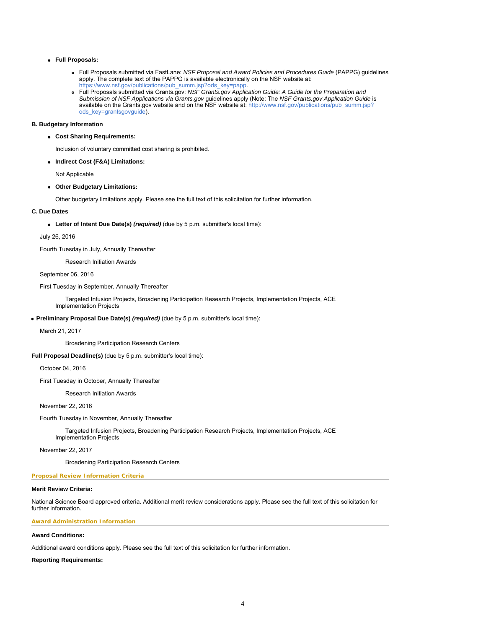## **Full Proposals:**

- Full Proposals submitted via FastLane: *NSF Proposal and Award Policies and Procedures Guide* (PAPPG) guidelines apply. The complete text of the PAPPG is available electronically on the NSF website at: [https://www.nsf.gov/publications/pub\\_summ.jsp?ods\\_key=papp](https://www.nsf.gov/publications/pub_summ.jsp?ods_key=papp).
- Full Proposals submitted via Grants.gov: *NSF Grants.gov Application Guide: A Guide for the Preparation and Submission of NSF Applications via Grants.gov* guidelines apply (Note: The *NSF Grants.gov Application Guide* is available on the Grants.gov website and on the NSF website at: [http://www.nsf.gov/publications/pub\\_summ.jsp?](http://www.nsf.gov/publications/pub_summ.jsp?ods_key=grantsgovguide) [ods\\_key=grantsgovguide](http://www.nsf.gov/publications/pub_summ.jsp?ods_key=grantsgovguide)).

#### **B. Budgetary Information**

**Cost Sharing Requirements:**

Inclusion of voluntary committed cost sharing is prohibited.

**Indirect Cost (F&A) Limitations:**

Not Applicable

**Other Budgetary Limitations:**

Other budgetary limitations apply. Please see the full text of this solicitation for further information.

#### **C. Due Dates**

**Letter of Intent Due Date(s)** *(required)* (due by 5 p.m. submitter's local time):

#### July 26, 2016

Fourth Tuesday in July, Annually Thereafter

#### Research Initiation Awards

September 06, 2016

## First Tuesday in September, Annually Thereafter

 Targeted Infusion Projects, Broadening Participation Research Projects, Implementation Projects, ACE Implementation Projects

### **Preliminary Proposal Due Date(s)** *(required)* (due by 5 p.m. submitter's local time):

#### March 21, 2017

Broadening Participation Research Centers

**Full Proposal Deadline(s)** (due by 5 p.m. submitter's local time):

October 04, 2016

First Tuesday in October, Annually Thereafter

## Research Initiation Awards

November 22, 2016

Fourth Tuesday in November, Annually Thereafter

 Targeted Infusion Projects, Broadening Participation Research Projects, Implementation Projects, ACE Implementation Projects

#### November 22, 2017

Broadening Participation Research Centers

### **Proposal Review Information Criteria**

#### **Merit Review Criteria:**

National Science Board approved criteria. Additional merit review considerations apply. Please see the full text of this solicitation for further information.

#### **Award Administration Information**

## **Award Conditions:**

Additional award conditions apply. Please see the full text of this solicitation for further information.

#### **Reporting Requirements:**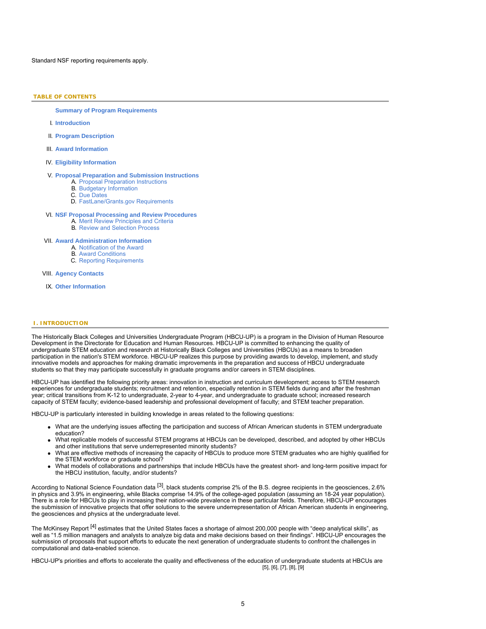Standard NSF reporting requirements apply.

## **TABLE OF CONTENTS**

**Summary of Program Requirements**

- I. **Introduction**
- II. **Program Description**
- III. **Award Information**
- IV. **Eligibility Information**

#### V. **Proposal Preparation and Submission Instructions**

- A. Proposal Preparation Instructions
- B. Budgetary Information C. Due Dates
- D. FastLane/Grants.gov Requirements

## VI. **NSF Proposal Processing and Review Procedures**

- A. Merit Review Principles and Criteria
	- B. Review and Selection Process

#### VII. **Award Administration Information**

- A. Notification of the Award
- B. Award Conditions
- C. Reporting Requirements

#### VIII. **Agency Contacts**

IX. **Other Information**

#### **I. INTRODUCTION**

The Historically Black Colleges and Universities Undergraduate Program (HBCU-UP) is a program in the Division of Human Resource Development in the Directorate for Education and Human Resources. HBCU-UP is committed to enhancing the quality of undergraduate STEM education and research at Historically Black Colleges and Universities (HBCUs) as a means to broaden participation in the nation's STEM workforce. HBCU-UP realizes this purpose by providing awards to develop, implement, and study innovative models and approaches for making dramatic improvements in the preparation and success of HBCU undergraduate students so that they may participate successfully in graduate programs and/or careers in STEM disciplines.

HBCU-UP has identified the following priority areas: innovation in instruction and curriculum development; access to STEM research experiences for undergraduate students; recruitment and retention, especially retention in STEM fields during and after the freshman year; critical transitions from K-12 to undergraduate, 2-year to 4-year, and undergraduate to graduate school; increased research capacity of STEM faculty; evidence-based leadership and professional development of faculty; and STEM teacher preparation.

HBCU-UP is particularly interested in building knowledge in areas related to the following questions:

- What are the underlying issues affecting the participation and success of African American students in STEM undergraduate education?
- What replicable models of successful STEM programs at HBCUs can be developed, described, and adopted by other HBCUs and other institutions that serve underrepresented minority students?
- What are effective methods of increasing the capacity of HBCUs to produce more STEM graduates who are highly qualified for the STEM workforce or graduate school?
- What models of collaborations and partnerships that include HBCUs have the greatest short- and long-term positive impact for the HBCU institution, faculty, and/or students?

According to National Science Foundation data <sup>[3]</sup>, black students comprise 2% of the B.S. degree recipients in the geosciences, 2.6% in physics and 3.9% in engineering, while Blacks comprise 14.9% of the college-aged population (assuming an 18-24 year population). There is a role for HBCUs to play in increasing their nation-wide prevalence in these particular fields. Therefore, HBCU-UP encourages the submission of innovative projects that offer solutions to the severe underrepresentation of African American students in engineering, the geosciences and physics at the undergraduate level.

The McKinsey Report <sup>[4]</sup> estimates that the United States faces a shortage of almost 200,000 people with "deep analytical skills", as well as "1.5 million managers and analysts to analyze big data and make decisions based on their findings". HBCU-UP encourages the submission of proposals that support efforts to educate the next generation of undergraduate students to confront the challenges in computational and data-enabled science.

HBCU-UP's priorities and efforts to accelerate the quality and effectiveness of the education of undergraduate students at HBCUs are [5], [6], [7], [8], [9]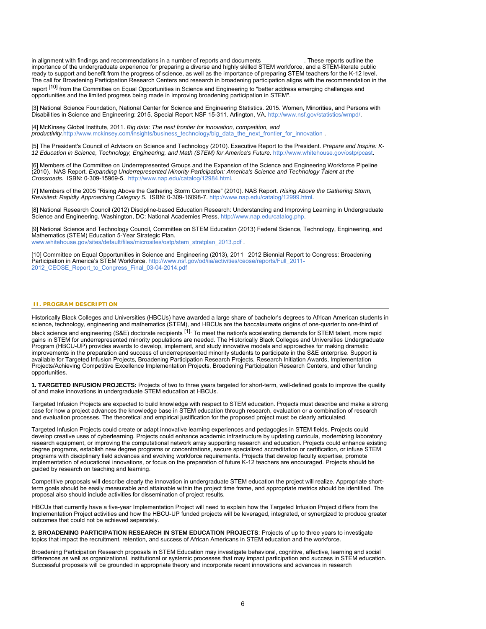in alignment with findings and recommendations in a number of reports and documents . These reports outline the importance of the undergraduate experience for preparing a diverse and highly skilled STEM workforce, and a STEM-literate public ready to support and benefit from the progress of science, as well as the importance of preparing STEM teachers for the K-12 level. The call for Broadening Participation Research Centers and research in broadening participation aligns with the recommendation in the

report <sup>[10]</sup> from the Committee on Equal Opportunities in Science and Engineering to "better address emerging challenges and opportunities and the limited progress being made in improving broadening participation in STEM".

[3] National Science Foundation, National Center for Science and Engineering Statistics. 2015. Women, Minorities, and Persons with Disabilities in Science and Engineering: 2015. Special Report NSF 15-311. Arlington, VA. <http://www.nsf.gov/statistics/wmpd/>.

[4] McKinsey Global Institute, 2011. *Big data: The next frontier for innovation, competition, and productivity.[http://www.mckinsey.com/insights/business\\_technology/big\\_data\\_the\\_next\\_frontier\\_for\\_innovation](https://www.nsf.gov/cgi-bin/good-bye?http://www.mckinsey.com/insights/business_technology/big_data_the_next_frontier_for_innovation) .* 

[5] The President's Council of Advisors on Science and Technology (2010). Executive Report to the President. *Prepare and Inspire: K-12 Education in Science, Technology, Engineering, and Math (STEM) for America's Future.* <http://www.whitehouse.gov/ostp/pcast>.

[6] Members of the Committee on Underrepresented Groups and the Expansion of the Science and Engineering Workforce Pipeline (2010). NAS Report. *Expanding Underrepresented Minority Participation: America's Science and Technology Talent at the Crossroads.* ISBN: 0-309-15969-5. [http://www.nap.edu/catalog/12984.html](https://www.nsf.gov/cgi-bin/good-bye?http://www.nap.edu/catalog/12984.html).

[7] Members of the 2005 "Rising Above the Gathering Storm Committee" (2010). NAS Report. *Rising Above the Gathering Storm, Revisited: Rapidly Approaching Category 5.* ISBN: 0-309-16098-7. [http://www.nap.edu/catalog/12999.html](https://www.nsf.gov/cgi-bin/good-bye?http://www.nap.edu/catalog/12999.html).

[8] National Research Council (2012) Discipline-based Education Research: Understanding and Improving Learning in Undergraduate Science and Engineering. Washington, DC: National Academies Press, [http://www.nap.edu/catalog.php](https://www.nsf.gov/cgi-bin/good-bye?http://www.nap.edu/catalog.php).

[9] National Science and Technology Council, Committee on STEM Education (2013) Federal Science, Technology, Engineering, and Mathematics (STEM) Education 5-Year Strategic Plan.

[www.whitehouse.gov/sites/default/files/microsites/ostp/stem\\_stratplan\\_2013.pdf](http://www.whitehouse.gov/sites/default/files/microsites/ostp/stem_stratplan_2013.pdf) .

[10] Committee on Equal Opportunities in Science and Engineering (2013), 2011 2012 Biennial Report to Congress: Broadening Participation in America's STEM Workforce. [http://www.nsf.gov/od/iia/activities/ceose/reports/Full\\_2011-](http://www.nsf.gov/od/iia/activities/ceose/reports/Full_2011-2012_CEOSE_Report_to_Congress_Final_03-04-2014.pdf) 2012 CEOSE\_Report\_to\_Congress\_Final\_03-04-2014.pdf

## **II. PROGRAM DESCRIPTION**

Historically Black Colleges and Universities (HBCUs) have awarded a large share of bachelor's degrees to African American students in science, technology, engineering and mathematics (STEM), and HBCUs are the baccalaureate origins of one-quarter to one-third of

black science and engineering (S&E) doctorate recipients <sup>[1].</sup> To meet the nation's accelerating demands for STEM talent, more rapid gains in STEM for underrepresented minority populations are needed. The Historically Black Colleges and Universities Undergraduate Program (HBCU-UP) provides awards to develop, implement, and study innovative models and approaches for making dramatic improvements in the preparation and success of underrepresented minority students to participate in the S&E enterprise. Support is available for Targeted Infusion Projects, Broadening Participation Research Projects, Research Initiation Awards, Implementation Projects/Achieving Competitive Excellence Implementation Projects, Broadening Participation Research Centers, and other funding opportunities.

**1. TARGETED INFUSION PROJECTS:** Projects of two to three years targeted for short-term, well-defined goals to improve the quality of and make innovations in undergraduate STEM education at HBCUs.

Targeted Infusion Projects are expected to build knowledge with respect to STEM education. Projects must describe and make a strong case for how a project advances the knowledge base in STEM education through research, evaluation or a combination of research and evaluation processes. The theoretical and empirical justification for the proposed project must be clearly articulated.

Targeted Infusion Projects could create or adapt innovative learning experiences and pedagogies in STEM fields. Projects could develop creative uses of cyberlearning. Projects could enhance academic infrastructure by updating curricula, modernizing laboratory research equipment, or improving the computational network array supporting research and education. Projects could enhance existing degree programs, establish new degree programs or concentrations, secure specialized accreditation or certification, or infuse STEM programs with disciplinary field advances and evolving workforce requirements. Projects that develop faculty expertise, promote implementation of educational innovations, or focus on the preparation of future K-12 teachers are encouraged. Projects should be guided by research on teaching and learning.

Competitive proposals will describe clearly the innovation in undergraduate STEM education the project will realize. Appropriate shortterm goals should be easily measurable and attainable within the project time frame, and appropriate metrics should be identified. The proposal also should include activities for dissemination of project results.

HBCUs that currently have a five-year Implementation Project will need to explain how the Targeted Infusion Project differs from the Implementation Project activities and how the HBCU-UP funded projects will be leveraged, integrated, or synergized to produce greater outcomes that could not be achieved separately.

**2. BROADENING PARTICIPATION RESEARCH IN STEM EDUCATION PROJECTS**: Projects of up to three years to investigate topics that impact the recruitment, retention, and success of African Americans in STEM education and the workforce.

Broadening Participation Research proposals in STEM Education may investigate behavioral, cognitive, affective, learning and social differences as well as organizational, institutional or systemic processes that may impact participation and success in STEM education. Successful proposals will be grounded in appropriate theory and incorporate recent innovations and advances in research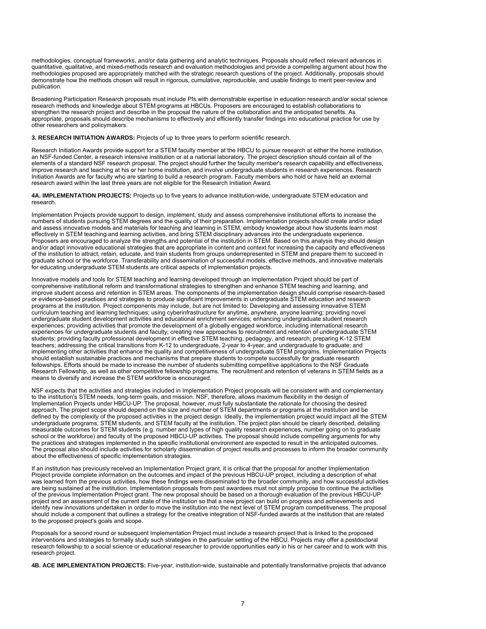methodologies, conceptual frameworks, and/or data gathering and analytic techniques. Proposals should reflect relevant advances in quantitative, qualitative, and mixed-methods research and evaluation methodologies and provide a compelling argument about how the methodologies proposed are appropriately matched with the strategic research questions of the project. Additionally, proposals should demonstrate how the methods chosen will result in rigorous, cumulative, reproducible, and usable findings to merit peer-review and publication.

Broadening Participation Research proposals must include PIs with demonstrable expertise in education research and/or social science research methods and knowledge about STEM programs at HBCUs. Proposers are encouraged to establish collaborations to strengthen the research project and describe in the proposal the nature of the collaboration and the anticipated benefits. As appropriate, proposals should describe mechanisms to effectively and efficiently transfer findings into educational practice for use by other researchers and policymakers.

**3. RESEARCH INITIATION AWARDS:** Projects of up to three years to perform scientific research.

Research Initiation Awards provide support for a STEM faculty member at the HBCU to pursue research at either the home institution, an NSF-funded Center, a research intensive institution or at a national laboratory. The project description should contain all of the elements of a standard NSF research proposal. The project should further the faculty member's research capability and effectiveness, improve research and teaching at his or her home institution, and involve undergraduate students in research experiences. Research Initiation Awards are for faculty who are starting to build a research program. Faculty members who hold or have held an external research award within the last three years are not eligible for the Research Initiation Award.

**4A. IMPLEMENTATION PROJECTS:** Projects up to five years to advance institution-wide, undergraduate STEM education and research.

Implementation Projects provide support to design, implement, study and assess comprehensive institutional efforts to increase the numbers of students pursuing STEM degrees and the quality of their preparation. Implementation projects should create and/or adapt and assess innovative models and materials for teaching and learning in STEM, embody knowledge about how students learn most effectively in STEM teaching and learning activities, and bring STEM disciplinary advances into the undergraduate experience. Proposers are encouraged to analyze the strengths and potential of the institution in STEM. Based on this analysis they should design and/or adapt innovative educational strategies that are appropriate in content and context for increasing the capacity and effectiveness of the institution to attract, retain, educate, and train students from groups underrepresented in STEM and prepare them to succeed in graduate school or the workforce. Transferability and dissemination of successful models, effective methods, and innovative materials for educating undergraduate STEM students are critical aspects of implementation projects.

Innovative models and tools for STEM teaching and learning developed through an Implementation Project should be part of comprehensive institutional reform and transformational strategies to strengthen and enhance STEM teaching and learning, and improve student access and retention in STEM areas. The components of the implementation design should comprise research-based or evidence-based practices and strategies to produce significant improvements in undergraduate STEM education and research programs at the institution. Project components may include, but are not limited to: Developing and assessing innovative STEM curriculum teaching and learning techniques; using cyberinfrastructure for anytime, anywhere, anyone learning; providing novel undergraduate student development activities and educational enrichment services; enhancing undergraduate student research experiences; providing activities that promote the development of a globally engaged workforce, including international research experiences for undergraduate students and faculty; creating new approaches to recruitment and retention of undergraduate STEM students; providing faculty professional development in effective STEM teaching, pedagogy, and research; preparing K-12 STEM teachers; addressing the critical transitions from K-12 to undergraduate, 2-year to 4-year, and undergraduate to graduate; and implementing other activities that enhance the quality and competitiveness of undergraduate STEM programs. Implementation Projects should establish sustainable practices and mechanisms that prepare students to compete successfully for graduate research fellowships. Efforts should be made to increase the number of students submitting competitive applications to the NSF Graduate Research Fellowship, as well as other competitive fellowship programs. The recruitment and retention of veterans in STEM fields as a means to diversify and increase the STEM workforce is encouraged.

NSF expects that the activities and strategies included in Implementation Project proposals will be consistent with and complementary to the institution's STEM needs, long-term goals, and mission. NSF, therefore, allows maximum flexibility in the design of Implementation Projects under HBCU-UP. The proposal, however, must fully substantiate the rationale for choosing the desired approach. The project scope should depend on the size and number of STEM departments or programs at the institution and be defined by the complexity of the proposed activities in the project design. Ideally, the implementation project would impact all the STEM undergraduate programs, STEM students, and STEM faculty at the institution. The project plan should be clearly described, detailing measurable outcomes for STEM students (e.g. number and types of high quality research experiences, number going on to graduate school or the workforce) and faculty of the proposed HBCU-UP activities. The proposal should include compelling arguments for why the practices and strategies implemented in the specific institutional environment are expected to result in the anticipated outcomes. The proposal also should include activities for scholarly dissemination of project results and processes to inform the broader community about the effectiveness of specific implementation strategies.

If an institution has previously received an Implementation Project grant, it is critical that the proposal for another Implementation Project provide complete information on the outcomes and impact of the previous HBCU-UP project, including a description of what was learned from the previous activities, how these findings were disseminated to the broader community, and how successful activities are being sustained at the institution. Implementation proposals from past awardees must not simply propose to continue the activities of the previous Implementation Project grant. The new proposal should be based on a thorough evaluation of the previous HBCU-UP project and an assessment of the current state of the institution so that a new project can build on progress and achievements and identify new innovations undertaken in order to move the institution into the next level of STEM program competitiveness. The proposal should include a component that outlines a strategy for the creative integration of NSF-funded awards at the institution that are related to the proposed project's goals and scope.

Proposals for a second round or subsequent Implementation Project must include a research project that is linked to the proposed interventions and strategies to formally study such strategies in the particular setting of the HBCU. Projects may offer a postdoctoral research fellowship to a social science or educational researcher to provide opportunities early in his or her career and to work with this research project.

**4B. ACE IMPLEMENTATION PROJECTS:** Five-year, institution-wide, sustainable and potentially transformative projects that advance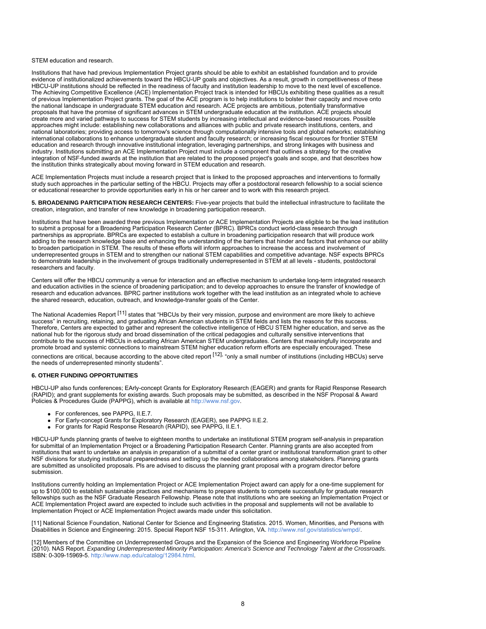#### STEM education and research.

Institutions that have had previous Implementation Project grants should be able to exhibit an established foundation and to provide evidence of institutionalized achievements toward the HBCU-UP goals and objectives. As a result, growth in competitiveness of these HBCU-UP institutions should be reflected in the readiness of faculty and institution leadership to move to the next level of excellence. The Achieving Competitive Excellence (ACE) Implementation Project track is intended for HBCUs exhibiting these qualities as a result of previous Implementation Project grants. The goal of the ACE program is to help institutions to bolster their capacity and move onto the national landscape in undergraduate STEM education and research. ACE projects are ambitious, potentially transformative proposals that have the promise of significant advances in STEM undergraduate education at the institution. ACE projects should create more and varied pathways to success for STEM students by increasing intellectual and evidence-based resources. Possible approaches might include: establishing new collaborations and alliances with public and private research institutions, centers, and national laboratories; providing access to tomorrow's science through computationally intensive tools and global networks; establishing international collaborations to enhance undergraduate student and faculty research; or increasing fiscal resources for frontier STEM education and research through innovative institutional integration, leveraging partnerships, and strong linkages with business and industry. Institutions submitting an ACE Implementation Project must include a component that outlines a strategy for the creative integration of NSF-funded awards at the institution that are related to the proposed project's goals and scope, and that describes how the institution thinks strategically about moving forward in STEM education and research.

ACE Implementation Projects must include a research project that is linked to the proposed approaches and interventions to formally study such approaches in the particular setting of the HBCU. Projects may offer a postdoctoral research fellowship to a social science or educational researcher to provide opportunities early in his or her career and to work with this research project.

**5. BROADENING PARTICIPATION RESEARCH CENTERS:** Five-year projects that build the intellectual infrastructure to facilitate the creation, integration, and transfer of new knowledge in broadening participation research.

Institutions that have been awarded three previous Implementation or ACE Implementation Projects are eligible to be the lead institution to submit a proposal for a Broadening Participation Research Center (BPRC). BPRCs conduct world-class research through partnerships as appropriate. BPRCs are expected to establish a culture in broadening participation research that will produce work adding to the research knowledge base and enhancing the understanding of the barriers that hinder and factors that enhance our ability to broaden participation in STEM. The results of these efforts will inform approaches to increase the access and involvement of underrepresented groups in STEM and to strengthen our national STEM capabilities and competitive advantage. NSF expects BPRCs to demonstrate leadership in the involvement of groups traditionally underrepresented in STEM at all levels - students, postdoctoral researchers and faculty.

Centers will offer the HBCU community a venue for interaction and an effective mechanism to undertake long-term integrated research and education activities in the science of broadening participation; and to develop approaches to ensure the transfer of knowledge of research and education advances. BPRC partner institutions work together with the lead institution as an integrated whole to achieve the shared research, education, outreach, and knowledge-transfer goals of the Center.

The National Academies Report <sup>[11]</sup> states that "HBCUs by their very mission, purpose and environment are more likely to achieve success" in recruiting, retaining, and graduating African American students in STEM fields and lists the reasons for this success. Therefore, Centers are expected to gather and represent the collective intelligence of HBCU STEM higher education, and serve as the national hub for the rigorous study and broad dissemination of the critical pedagogies and culturally sensitive interventions that contribute to the success of HBCUs in educating African American STEM undergraduates. Centers that meaningfully incorporate and promote broad and systemic connections to mainstream STEM higher education reform efforts are especially encouraged. These connections are critical, because according to the above cited report [12], "only a small number of institutions (including HBCUs) serve

the needs of underrepresented minority students".

## **6. OTHER FUNDING OPPORTUNITIES**

HBCU-UP also funds conferences; EArly-concept Grants for Exploratory Research (EAGER) and grants for Rapid Response Research (RAPID); and grant supplements for existing awards. Such proposals may be submitted, as described in the NSF Proposal & Award Policies & Procedures Guide (PAPPG), which is available at [http://www.nsf.gov](http://www.nsf.gov/).

- For conferences, see PAPPG, II.E.7.
- For Early-concept Grants for Exploratory Research (EAGER), see PAPPG II.E.2.
- For grants for Rapid Response Research (RAPID), see PAPPG, II.E.1.

HBCU-UP funds planning grants of twelve to eighteen months to undertake an institutional STEM program self-analysis in preparation for submittal of an Implementation Project or a Broadening Participation Research Center. Planning grants are also accepted from institutions that want to undertake an analysis in preparation of a submittal of a center grant or institutional transformation grant to other NSF divisions for studying institutional preparedness and setting up the needed collaborations among stakeholders. Planning grants are submitted as unsolicited proposals. PIs are advised to discuss the planning grant proposal with a program director before submission.

Institutions currently holding an Implementation Project or ACE Implementation Project award can apply for a one-time supplement for up to \$100,000 to establish sustainable practices and mechanisms to prepare students to compete successfully for graduate research fellowships such as the NSF Graduate Research Fellowship. Please note that institutions who are seeking an Implementation Project or ACE Implementation Project award are expected to include such activities in the proposal and supplements will not be available to Implementation Project or ACE Implementation Project awards made under this solicitation.

[11] National Science Foundation, National Center for Science and Engineering Statistics. 2015. Women, Minorities, and Persons with Disabilities in Science and Engineering: 2015. Special Report NSF 15-311. Arlington, VA. <http://www.nsf.gov/statistics/wmpd/>.

[12] Members of the Committee on Underrepresented Groups and the Expansion of the Science and Engineering Workforce Pipeline (2010). NAS Report. *Expanding Underrepresented Minority Participation: America's Science and Technology Talent at the Crossroads.* ISBN: 0-309-15969-5. [http://www.nap.edu/catalog/12984.html](https://www.nsf.gov/cgi-bin/good-bye?http://www.nap.edu/catalog/12984.html).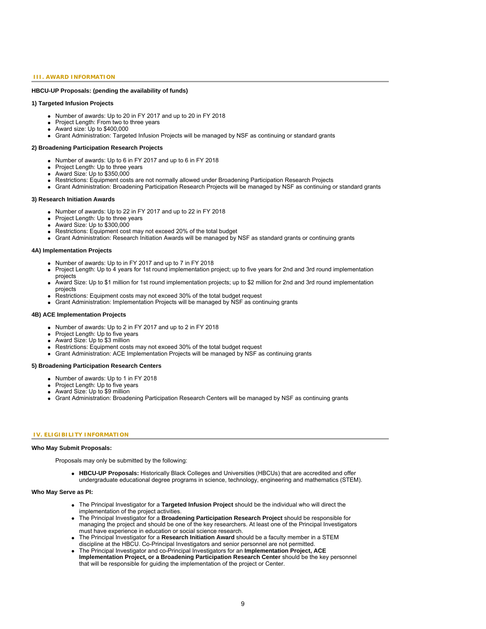#### **III. AWARD INFORMATION**

## **HBCU-UP Proposals: (pending the availability of funds)**

## **1) Targeted Infusion Projects**

- Number of awards: Up to 20 in FY 2017 and up to 20 in FY 2018
- Project Length: From two to three years
- Award size: Up to \$400,000
- Grant Administration: Targeted Infusion Projects will be managed by NSF as continuing or standard grants

#### **2) Broadening Participation Research Projects**

- Number of awards: Up to 6 in FY 2017 and up to 6 in FY 2018
- Project Length: Up to three years
- Award Size: Up to \$350,000
- Restrictions: Equipment costs are not normally allowed under Broadening Participation Research Projects
- Grant Administration: Broadening Participation Research Projects will be managed by NSF as continuing or standard grants

#### **3) Research Initiation Awards**

- Number of awards: Up to 22 in FY 2017 and up to 22 in FY 2018
- Project Length: Up to three years
- Award Size: Up to \$300,000
- Restrictions: Equipment cost may not exceed 20% of the total budget
- Grant Administration: Research Initiation Awards will be managed by NSF as standard grants or continuing grants

#### **4A) Implementation Projects**

- Number of awards: Up to in FY 2017 and up to 7 in FY 2018
- Project Length: Up to 4 years for 1st round implementation project; up to five years for 2nd and 3rd round implementation projects
- Award Size: Up to \$1 million for 1st round implementation projects; up to \$2 million for 2nd and 3rd round implementation projects
- Restrictions: Equipment costs may not exceed 30% of the total budget request
- Grant Administration: Implementation Projects will be managed by NSF as continuing grants

## **4B) ACE Implementation Projects**

- Number of awards: Up to 2 in FY 2017 and up to 2 in FY 2018
- Project Length: Up to five years
- Award Size: Up to \$3 million
- Restrictions: Equipment costs may not exceed 30% of the total budget request
- Grant Administration: ACE Implementation Projects will be managed by NSF as continuing grants

#### **5) Broadening Participation Research Centers**

- Number of awards: Up to 1 in FY 2018
- Project Length: Up to five years
- Award Size: Up to \$9 million
- Grant Administration: Broadening Participation Research Centers will be managed by NSF as continuing grants

## **IV. ELIGIBILITY INFORMATION**

#### **Who May Submit Proposals:**

Proposals may only be submitted by the following:

**HBCU-UP Proposals:** Historically Black Colleges and Universities (HBCUs) that are accredited and offer undergraduate educational degree programs in science, technology, engineering and mathematics (STEM).

#### **Who May Serve as PI:**

- The Principal Investigator for a **Targeted Infusion Project** should be the individual who will direct the implementation of the project activities.
- The Principal Investigator for a **Broadening Participation Research Project** should be responsible for managing the project and should be one of the key researchers. At least one of the Principal Investigators must have experience in education or social science research.
- The Principal Investigator for a **Research Initiation Award** should be a faculty member in a STEM discipline at the HBCU. Co-Principal Investigators and senior personnel are not permitted.
- The Principal Investigator and co-Principal Investigators for an **Implementation Project, ACE Implementation Project, or a Broadening Participation Research Center** should be the key personnel that will be responsible for guiding the implementation of the project or Center.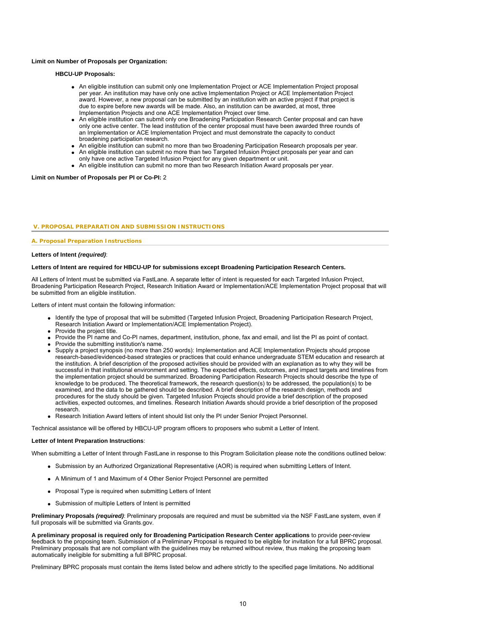#### **Limit on Number of Proposals per Organization:**

## **HBCU-UP Proposals:**

- An eligible institution can submit only one Implementation Project or ACE Implementation Project proposal per year. An institution may have only one active Implementation Project or ACE Implementation Project award. However, a new proposal can be submitted by an institution with an active project if that project is due to expire before new awards will be made. Also, an institution can be awarded, at most, three Implementation Projects and one ACE Implementation Project over time.
- An eligible institution can submit only one Broadening Participation Research Center proposal and can have only one active center. The lead institution of the center proposal must have been awarded three rounds of an Implementation or ACE Implementation Project and must demonstrate the capacity to conduct broadening participation research.
- An eligible institution can submit no more than two Broadening Participation Research proposals per year.
- An eligible institution can submit no more than two Targeted Infusion Project proposals per year and can
- only have one active Targeted Infusion Project for any given department or unit.
- An eligible institution can submit no more than two Research Initiation Award proposals per year.

#### **Limit on Number of Proposals per PI or Co-PI:** 2

#### **V. PROPOSAL PREPARATION AND SUBMISSION INSTRUCTIONS**

#### **A. Proposal Preparation Instructions**

#### **Letters of Intent** *(required)*:

#### **Letters of Intent are required for HBCU-UP for submissions except Broadening Participation Research Centers.**

All Letters of Intent must be submitted via FastLane. A separate letter of intent is requested for each Targeted Infusion Project, Broadening Participation Research Project, Research Initiation Award or Implementation/ACE Implementation Project proposal that will be submitted from an eligible institution.

Letters of intent must contain the following information:

- Identify the type of proposal that will be submitted (Targeted Infusion Project, Broadening Participation Research Project, Research Initiation Award or Implementation/ACE Implementation Project).
- Provide the project title.
- Provide the PI name and Co-PI names, department, institution, phone, fax and email, and list the PI as point of contact.
- Provide the submitting institution's name.
- Supply a project synopsis (no more than 250 words): Implementation and ACE Implementation Projects should propose research-based/evidenced-based strategies or practices that could enhance undergraduate STEM education and research at the institution. A brief description of the proposed activities should be provided with an explanation as to why they will be successful in that institutional environment and setting. The expected effects, outcomes, and impact targets and timelines from the implementation project should be summarized. Broadening Participation Research Projects should describe the type of knowledge to be produced. The theoretical framework, the research question(s) to be addressed, the population(s) to be examined, and the data to be gathered should be described. A brief description of the research design, methods and procedures for the study should be given. Targeted Infusion Projects should provide a brief description of the proposed activities, expected outcomes, and timelines. Research Initiation Awards should provide a brief description of the proposed research.
- Research Initiation Award letters of intent should list only the PI under Senior Project Personnel.

Technical assistance will be offered by HBCU-UP program officers to proposers who submit a Letter of Intent.

#### **Letter of Intent Preparation Instructions**:

When submitting a Letter of Intent through FastLane in response to this Program Solicitation please note the conditions outlined below:

- Submission by an Authorized Organizational Representative (AOR) is required when submitting Letters of Intent.
- A Minimum of 1 and Maximum of 4 Other Senior Project Personnel are permitted
- Proposal Type is required when submitting Letters of Intent
- Submission of multiple Letters of Intent is permitted

**Preliminary Proposals** *(required)*: Preliminary proposals are required and must be submitted via the NSF FastLane system, even if full proposals will be submitted via Grants.gov.

**A preliminary proposal is required only for Broadening Participation Research Center applications** to provide peer-review feedback to the proposing team. Submission of a Preliminary Proposal is required to be eligible for invitation for a full BPRC proposal. Preliminary proposals that are not compliant with the guidelines may be returned without review, thus making the proposing team automatically ineligible for submitting a full BPRC proposal.

Preliminary BPRC proposals must contain the items listed below and adhere strictly to the specified page limitations. No additional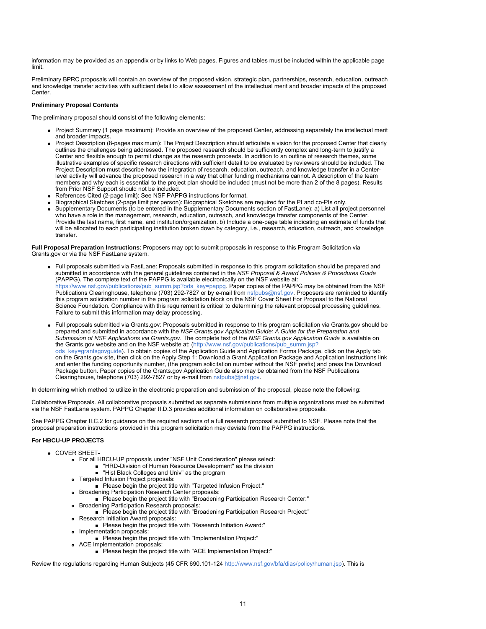information may be provided as an appendix or by links to Web pages. Figures and tables must be included within the applicable page limit.

Preliminary BPRC proposals will contain an overview of the proposed vision, strategic plan, partnerships, research, education, outreach and knowledge transfer activities with sufficient detail to allow assessment of the intellectual merit and broader impacts of the proposed **Center** 

## **Preliminary Proposal Contents**

The preliminary proposal should consist of the following elements:

- Project Summary (1 page maximum): Provide an overview of the proposed Center, addressing separately the intellectual merit and broader impacts.
- Project Description (8-pages maximum): The Project Description should articulate a vision for the proposed Center that clearly outlines the challenges being addressed. The proposed research should be sufficiently complex and long-term to justify a Center and flexible enough to permit change as the research proceeds. In addition to an outline of research themes, some illustrative examples of specific research directions with sufficient detail to be evaluated by reviewers should be included. The Project Description must describe how the integration of research, education, outreach, and knowledge transfer in a Centerlevel activity will advance the proposed research in a way that other funding mechanisms cannot. A description of the team members and why each is essential to the project plan should be included (must not be more than 2 of the 8 pages). Results from Prior NSF Support should not be included.
- References Cited (2-page limit): See NSF PAPPG instructions for format.
- Biographical Sketches (2-page limit per person): Biographical Sketches are required for the PI and co-PIs only.
- Supplementary Documents (to be entered in the Supplementary Documents section of FastLane): a) List all project personnel who have a role in the management, research, education, outreach, and knowledge transfer components of the Center. Provide the last name, first name, and institution/organization. b) Include a one-page table indicating an estimate of funds that will be allocated to each participating institution broken down by category, i.e., research, education, outreach, and knowledge transfer.

**Full Proposal Preparation Instructions**: Proposers may opt to submit proposals in response to this Program Solicitation via Grants.gov or via the NSF FastLane system.

- Full proposals submitted via FastLane: Proposals submitted in response to this program solicitation should be prepared and submitted in accordance with the general guidelines contained in the *NSF Proposal & Award Policies & Procedures Guide* (PAPPG). The complete text of the PAPPG is available electronically on the NSF website at: [https://www.nsf.gov/publications/pub\\_summ.jsp?ods\\_key=pappg.](https://www.nsf.gov/publications/pub_summ.jsp?ods_key=pappg) Paper copies of the PAPPG may be obtained from the NSF Publications Clearinghouse, telephone (703) 292-7827 or by e-mail from [nsfpubs@nsf.gov](mailto:nsfpubs@nsf.gov). Proposers are reminded to identify this program solicitation number in the program solicitation block on the NSF Cover Sheet For Proposal to the National Science Foundation. Compliance with this requirement is critical to determining the relevant proposal processing guidelines. Failure to submit this information may delay processing.
- Full proposals submitted via Grants.gov: Proposals submitted in response to this program solicitation via Grants.gov should be prepared and submitted in accordance with the *NSF Grants.gov Application Guide: A Guide for the Preparation and Submission of NSF Applications via Grants.gov*. The complete text of the *NSF Grants.gov Application Guide* is available on the Grants.gov website and on the NSF website at: [\(http://www.nsf.gov/publications/pub\\_summ.jsp?](http://www.nsf.gov/publications/pub_summ.jsp?ods_key=grantsgovguide) [ods\\_key=grantsgovguide](http://www.nsf.gov/publications/pub_summ.jsp?ods_key=grantsgovguide)). To obtain copies of the Application Guide and Application Forms Package, click on the Apply tab on the Grants.gov site, then click on the Apply Step 1: Download a Grant Application Package and Application Instructions link and enter the funding opportunity number, (the program solicitation number without the NSF prefix) and press the Download Package button. Paper copies of the Grants.gov Application Guide also may be obtained from the NSF Publications Clearinghouse, telephone (703) 292-7827 or by e-mail from [nsfpubs@nsf.gov](mailto:nsfpubs@nsf.gov).

In determining which method to utilize in the electronic preparation and submission of the proposal, please note the following:

Collaborative Proposals. All collaborative proposals submitted as separate submissions from multiple organizations must be submitted via the NSF FastLane system. PAPPG Chapter II.D.3 provides additional information on collaborative proposals.

See PAPPG Chapter II.C.2 for guidance on the required sections of a full research proposal submitted to NSF. Please note that the proposal preparation instructions provided in this program solicitation may deviate from the PAPPG instructions.

## **For HBCU-UP PROJECTS**

- **COVER SHEET-**
	- For all HBCU-UP proposals under "NSF Unit Consideration" please select:
		- "HRD-Division of Human Resource Development" as the division
			- "Hist Black Colleges and Univ" as the program
	- Targeted Infusion Project proposals:
	- Please begin the project title with "Targeted Infusion Project:"
	- Broadening Participation Research Center proposals:
	- Please begin the project title with "Broadening Participation Research Center:"
	- Broadening Participation Research proposals:
	- Please begin the project title with "Broadening Participation Research Project:" Research Initiation Award proposals:
		- Please begin the project title with "Research Initiation Award:"
	- o Implementation proposals:
		- **Please begin the project title with "Implementation Project:"**
	- ACE Implementation proposals:
		- Please begin the project title with "ACE Implementation Project:"

Review the regulations regarding Human Subjects (45 CFR 690.101-124<http://www.nsf.gov/bfa/dias/policy/human.jsp>). This is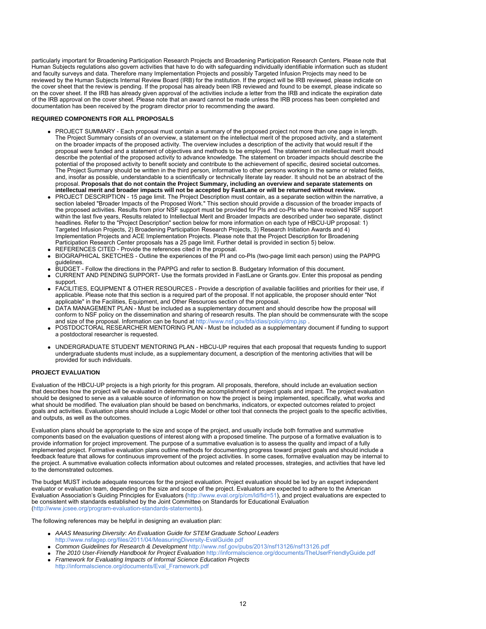particularly important for Broadening Participation Research Projects and Broadening Participation Research Centers. Please note that Human Subjects regulations also govern activities that have to do with safeguarding individually identifiable information such as student and faculty surveys and data. Therefore many Implementation Projects and possibly Targeted Infusion Projects may need to be reviewed by the Human Subjects Internal Review Board (IRB) for the institution. If the project will be IRB reviewed, please indicate on the cover sheet that the review is pending. If the proposal has already been IRB reviewed and found to be exempt, please indicate so on the cover sheet. If the IRB has already given approval of the activities include a letter from the IRB and indicate the expiration date of the IRB approval on the cover sheet. Please note that an award cannot be made unless the IRB process has been completed and documentation has been received by the program director prior to recommending the award.

## **REQUIRED COMPONENTS FOR ALL PROPOSALS**

- PROJECT SUMMARY Each proposal must contain a summary of the proposed project not more than one page in length. The Project Summary consists of an overview, a statement on the intellectual merit of the proposed activity, and a statement on the broader impacts of the proposed activity. The overview includes a description of the activity that would result if the proposal were funded and a statement of objectives and methods to be employed. The statement on intellectual merit should describe the potential of the proposed activity to advance knowledge. The statement on broader impacts should describe the potential of the proposed activity to benefit society and contribute to the achievement of specific, desired societal outcomes. The Project Summary should be written in the third person, informative to other persons working in the same or related fields, and, insofar as possible, understandable to a scientifically or technically literate lay reader. It should not be an abstract of the proposal. **Proposals that do not contain the Project Summary, including an overview and separate statements on intellectual merit and broader impacts will not be accepted by FastLane or will be returned without review.**
- PROJECT DESCRIPTION 15 page limit. The Project Description must contain, as a separate section within the narrative, a section labeled "Broader Impacts of the Proposed Work." This section should provide a discussion of the broader impacts of the proposed activities. Results from prior NSF support must be provided for PIs and co-PIs who have received NSF support within the last five years, Results related to Intellectual Merit and Broader Impacts are described under two separate, distinct headlines. Refer to the "Project Description" section below for more information on each type of HBCU-UP proposal: 1) Targeted Infusion Projects, 2) Broadening Participation Research Projects, 3) Research Initiation Awards and 4) Implementation Projects and ACE Implementation Projects. Please note that the Project Description for Broadening Participation Research Center proposals has a 25 page limit. Further detail is provided in section 5) below.
- REFERENCES CITED Provide the references cited in the proposal.
- BIOGRAPHICAL SKETCHES Outline the experiences of the PI and co-PIs (two-page limit each person) using the PAPPG guidelines.
- BUDGET Follow the directions in the PAPPG and refer to section B. Budgetary Information of this document.
- CURRENT AND PENDING SUPPORT- Use the formats provided in FastLane or Grants.gov. Enter this proposal as pending support.
- FACILITIES, EQUIPMENT & OTHER RESOURCES Provide a description of available facilities and priorities for their use, if applicable. Please note that this section is a required part of the proposal. If not applicable, the proposer should enter "Not applicable" in the Facilities, Equipment, and Other Resources section of the proposal.
- DATA MANAGEMENT PLAN Must be included as a supplementary document and should describe how the proposal will conform to NSF policy on the dissemination and sharing of research results. The plan should be commensurate with the scope and size of the proposal. Information can be found at <http://www.nsf.gov/bfa/dias/policy/dmp.jsp>
- POSTDOCTORAL RESEARCHER MENTORING PLAN Must be included as a supplementary document if funding to support a postdoctoral researcher is requested.
- UNDERGRADUATE STUDENT MENTORING PLAN HBCU-UP requires that each proposal that requests funding to support undergraduate students must include, as a supplementary document, a description of the mentoring activities that will be provided for such individuals.

## **PROJECT EVALUATION**

Evaluation of the HBCU-UP projects is a high priority for this program. All proposals, therefore, should include an evaluation section that describes how the project will be evaluated in determining the accomplishment of project goals and impact. The project evaluation should be designed to serve as a valuable source of information on how the project is being implemented, specifically, what works and what should be modified. The evaluation plan should be based on benchmarks, indicators, or expected outcomes related to project goals and activities. Evaluation plans should include a Logic Model or other tool that connects the project goals to the specific activities, and outputs, as well as the outcomes.

Evaluation plans should be appropriate to the size and scope of the project, and usually include both formative and summative components based on the evaluation questions of interest along with a proposed timeline. The purpose of a formative evaluation is to provide information for project improvement. The purpose of a summative evaluation is to assess the quality and impact of a fully implemented project. Formative evaluation plans outline methods for documenting progress toward project goals and should include a feedback feature that allows for continuous improvement of the project activities. In some cases, formative evaluation may be internal to the project. A summative evaluation collects information about outcomes and related processes, strategies, and activities that have led to the demonstrated outcomes.

The budget MUST include adequate resources for the project evaluation. Project evaluation should be led by an expert independent evaluator or evaluation team, depending on the size and scope of the project. Evaluators are expected to adhere to the American Evaluation Association's Guiding Principles for Evaluators [\(http://www.eval.org/p/cm/ld/fid=51\)](https://www.nsf.gov/cgi-bin/good-bye?http://www.eval.org/p/cm/ld/fid=51), and project evaluations are expected to be consistent with standards established by the Joint Committee on Standards for Educational Evaluation [\(http://www.jcsee.org/program-evaluation-standards-statements](https://www.nsf.gov/cgi-bin/good-bye?http://www.jcsee.org/program-evaluation-standards-statements)).

The following references may be helpful in designing an evaluation plan:

- *AAAS Measuring Diversity: An Evaluation Guide for STEM Graduate School Leaders* [http://www.nsfagep.org/files/2011/04/MeasuringDiversity-EvalGuide.pdf](https://www.nsf.gov/cgi-bin/good-bye?http://www.nsfagep.org/files/2011/04/MeasuringDiversity-EvalGuide.pdf)
- *Common Guidelines for Research & Development* <http://www.nsf.gov/pubs/2013/nsf13126/nsf13126.pdf>
- *The 2010 User-Friendly Handbook for Project Evaluation* [http://informalscience.org/documents/TheUserFriendlyGuide.pdf](https://www.nsf.gov/cgi-bin/good-bye?http://informalscience.org/documents/TheUserFriendlyGuide.pdf)
- *Framework for Evaluating Impacts of Informal Science Education Projects* [http://informalscience.org/documents/Eval\\_Framework.pdf](https://www.nsf.gov/cgi-bin/good-bye?http://informalscience.org/documents/Eval_Framework.pdf)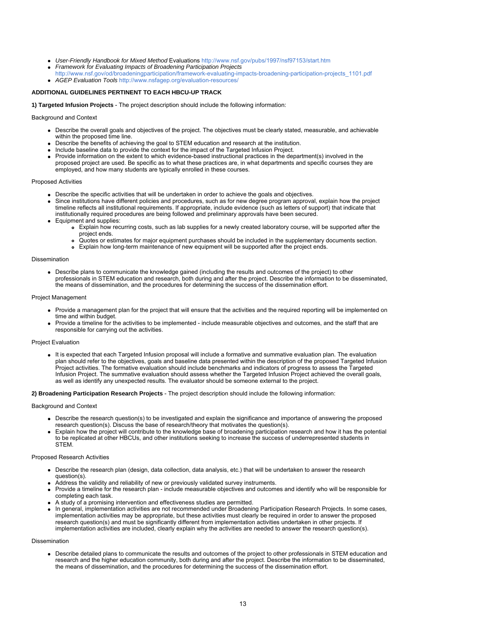- *User-Friendly Handbook for Mixed Method* Evaluations <http://www.nsf.gov/pubs/1997/nsf97153/start.htm>
- *Framework for Evaluating Impacts of Broadening Participation Projects*
- [http://www.nsf.gov/od/broadeningparticipation/framework-evaluating-impacts-broadening-participation-projects\\_1101.pdf](http://www.nsf.gov/od/broadeningparticipation/framework-evaluating-impacts-broadening-participation-projects_1101.pdf) *AGEP Evaluation Tools* [http://www.nsfagep.org/evaluation-resources/](https://www.nsf.gov/cgi-bin/good-bye?http://www.nsfagep.org/evaluation-resources/)

## **ADDITIONAL GUIDELINES PERTINENT TO EACH HBCU-UP TRACK**

**1) Targeted Infusion Projects** - The project description should include the following information:

## Background and Context

- Describe the overall goals and objectives of the project. The objectives must be clearly stated, measurable, and achievable within the proposed time line.
- Describe the benefits of achieving the goal to STEM education and research at the institution.
- Include baseline data to provide the context for the impact of the Targeted Infusion Project.
- Provide information on the extent to which evidence-based instructional practices in the department(s) involved in the proposed project are used. Be specific as to what these practices are, in what departments and specific courses they are employed, and how many students are typically enrolled in these courses.

#### Proposed Activities

- Describe the specific activities that will be undertaken in order to achieve the goals and objectives.
- Since institutions have different policies and procedures, such as for new degree program approval, explain how the project timeline reflects all institutional requirements. If appropriate, include evidence (such as letters of support) that indicate that institutionally required procedures are being followed and preliminary approvals have been secured.
- Equipment and supplies:
	- Explain how recurring costs, such as lab supplies for a newly created laboratory course, will be supported after the project ends.
	- Quotes or estimates for major equipment purchases should be included in the supplementary documents section.
	- Explain how long-term maintenance of new equipment will be supported after the project ends.

#### Dissemination

Describe plans to communicate the knowledge gained (including the results and outcomes of the project) to other professionals in STEM education and research, both during and after the project. Describe the information to be disseminated, the means of dissemination, and the procedures for determining the success of the dissemination effort.

#### Project Management

- Provide a management plan for the project that will ensure that the activities and the required reporting will be implemented on time and within budget.
- Provide a timeline for the activities to be implemented include measurable objectives and outcomes, and the staff that are responsible for carrying out the activities.

#### Project Evaluation

It is expected that each Targeted Infusion proposal will include a formative and summative evaluation plan. The evaluation plan should refer to the objectives, goals and baseline data presented within the description of the proposed Targeted Infusion Project activities. The formative evaluation should include benchmarks and indicators of progress to assess the Targeted Infusion Project. The summative evaluation should assess whether the Targeted Infusion Project achieved the overall goals, as well as identify any unexpected results. The evaluator should be someone external to the project.

**2) Broadening Participation Research Projects** - The project description should include the following information:

#### Background and Context

- Describe the research question(s) to be investigated and explain the significance and importance of answering the proposed research question(s). Discuss the base of research/theory that motivates the question(s).
- Explain how the project will contribute to the knowledge base of broadening participation research and how it has the potential to be replicated at other HBCUs, and other institutions seeking to increase the success of underrepresented students in **STEM**

#### Proposed Research Activities

- Describe the research plan (design, data collection, data analysis, etc.) that will be undertaken to answer the research question(s).
- Address the validity and reliability of new or previously validated survey instruments.
- Provide a timeline for the research plan include measurable objectives and outcomes and identify who will be responsible for completing each task.
- A study of a promising intervention and effectiveness studies are permitted.
- In general, implementation activities are not recommended under Broadening Participation Research Projects. In some cases, implementation activities may be appropriate, but these activities must clearly be required in order to answer the proposed research question(s) and must be significantly different from implementation activities undertaken in other projects. If implementation activities are included, clearly explain why the activities are needed to answer the research question(s).

## Dissemination

Describe detailed plans to communicate the results and outcomes of the project to other professionals in STEM education and research and the higher education community, both during and after the project. Describe the information to be disseminated, the means of dissemination, and the procedures for determining the success of the dissemination effort.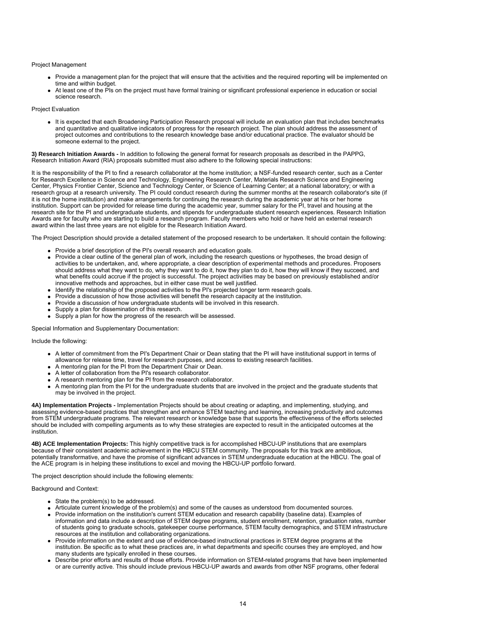#### Project Management

- Provide a management plan for the project that will ensure that the activities and the required reporting will be implemented on time and within budget.
- At least one of the PIs on the project must have formal training or significant professional experience in education or social science research.

#### Project Evaluation

• It is expected that each Broadening Participation Research proposal will include an evaluation plan that includes benchmarks and quantitative and qualitative indicators of progress for the research project. The plan should address the assessment of project outcomes and contributions to the research knowledge base and/or educational practice. The evaluator should be someone external to the project.

**3) Research Initiation Awards -** In addition to following the general format for research proposals as described in the PAPPG, Research Initiation Award (RIA) proposals submitted must also adhere to the following special instructions:

It is the responsibility of the PI to find a research collaborator at the home institution; a NSF-funded research center, such as a Center for Research Excellence in Science and Technology, Engineering Research Center, Materials Research Science and Engineering Center, Physics Frontier Center, Science and Technology Center, or Science of Learning Center; at a national laboratory; or with a research group at a research university. The PI could conduct research during the summer months at the research collaborator's site (if it is not the home institution) and make arrangements for continuing the research during the academic year at his or her home institution. Support can be provided for release time during the academic year, summer salary for the PI, travel and housing at the research site for the PI and undergraduate students, and stipends for undergraduate student research experiences. Research Initiation Awards are for faculty who are starting to build a research program. Faculty members who hold or have held an external research award within the last three years are not eligible for the Research Initiation Award.

The Project Description should provide a detailed statement of the proposed research to be undertaken. It should contain the following:

- Provide a brief description of the PI's overall research and education goals.
- Provide a clear outline of the general plan of work, including the research questions or hypotheses, the broad design of activities to be undertaken, and, where appropriate, a clear description of experimental methods and procedures. Proposers should address what they want to do, why they want to do it, how they plan to do it, how they will know if they succeed, and what benefits could accrue if the project is successful. The project activities may be based on previously established and/or innovative methods and approaches, but in either case must be well justified.
- Identify the relationship of the proposed activities to the PI's projected longer term research goals.
- Provide a discussion of how those activities will benefit the research capacity at the institution.
- Provide a discussion of how undergraduate students will be involved in this research.
- Supply a plan for dissemination of this research.
- Supply a plan for how the progress of the research will be assessed.

Special Information and Supplementary Documentation:

## Include the following:

- A letter of commitment from the PI's Department Chair or Dean stating that the PI will have institutional support in terms of allowance for release time, travel for research purposes, and access to existing research facilities.
- A mentoring plan for the PI from the Department Chair or Dean.
- A letter of collaboration from the PI's research collaborator.
- A research mentoring plan for the PI from the research collaborator.
- A mentoring plan from the PI for the undergraduate students that are involved in the project and the graduate students that may be involved in the project.

**4A) Implementation Projects -** Implementation Projects should be about creating or adapting, and implementing, studying, and assessing evidence-based practices that strengthen and enhance STEM teaching and learning, increasing productivity and outcomes from STEM undergraduate programs. The relevant research or knowledge base that supports the effectiveness of the efforts selected should be included with compelling arguments as to why these strategies are expected to result in the anticipated outcomes at the institution.

**4B) ACE Implementation Projects:** This highly competitive track is for accomplished HBCU-UP institutions that are exemplars because of their consistent academic achievement in the HBCU STEM community. The proposals for this track are ambitious, potentially transformative, and have the promise of significant advances in STEM undergraduate education at the HBCU. The goal of the ACE program is in helping these institutions to excel and moving the HBCU-UP portfolio forward.

The project description should include the following elements:

#### Background and Context:

- State the problem(s) to be addressed.
- Articulate current knowledge of the problem(s) and some of the causes as understood from documented sources.
- Provide information on the institution's current STEM education and research capability (baseline data). Examples of information and data include a description of STEM degree programs, student enrollment, retention, graduation rates, number of students going to graduate schools, gatekeeper course performance, STEM faculty demographics, and STEM infrastructure resources at the institution and collaborating organizations.
- Provide information on the extent and use of evidence-based instructional practices in STEM degree programs at the institution. Be specific as to what these practices are, in what departments and specific courses they are employed, and how many students are typically enrolled in these courses.
- Describe prior efforts and results of those efforts. Provide information on STEM-related programs that have been implemented or are currently active. This should include previous HBCU-UP awards and awards from other NSF programs, other federal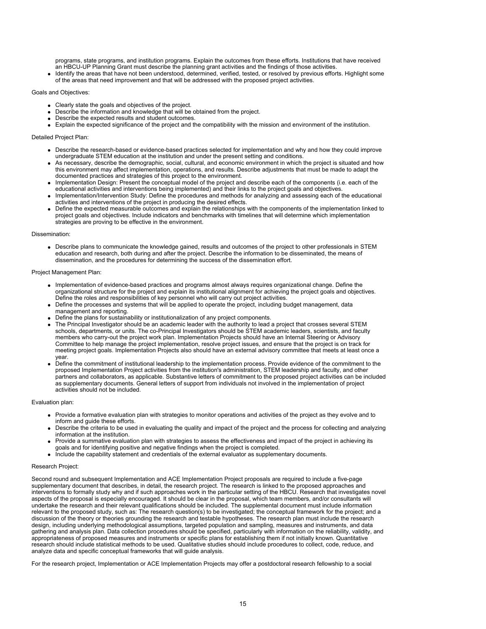programs, state programs, and institution programs. Explain the outcomes from these efforts. Institutions that have received an HBCU-UP Planning Grant must describe the planning grant activities and the findings of those activities.

Identify the areas that have not been understood, determined, verified, tested, or resolved by previous efforts. Highlight some of the areas that need improvement and that will be addressed with the proposed project activities.

## Goals and Objectives:

- Clearly state the goals and objectives of the project.
- Describe the information and knowledge that will be obtained from the project.
- Describe the expected results and student outcomes.
- Explain the expected significance of the project and the compatibility with the mission and environment of the institution.

## Detailed Project Plan:

- Describe the research-based or evidence-based practices selected for implementation and why and how they could improve undergraduate STEM education at the institution and under the present setting and conditions.
- As necessary, describe the demographic, social, cultural, and economic environment in which the project is situated and how this environment may affect implementation, operations, and results. Describe adjustments that must be made to adapt the documented practices and strategies of this project to the environment.
- Implementation Design: Present the conceptual model of the project and describe each of the components (i.e. each of the educational activities and interventions being implemented) and their links to the project goals and objectives.
- Implementation/Intervention Study: Define the procedures and methods for analyzing and assessing each of the educational activities and interventions of the project in producing the desired effects.
- Define the expected measurable outcomes and explain the relationships with the components of the implementation linked to project goals and objectives. Include indicators and benchmarks with timelines that will determine which implementation strategies are proving to be effective in the environment.

### Dissemination:

Describe plans to communicate the knowledge gained, results and outcomes of the project to other professionals in STEM education and research, both during and after the project. Describe the information to be disseminated, the means of dissemination, and the procedures for determining the success of the dissemination effort.

### Project Management Plan:

- Implementation of evidence-based practices and programs almost always requires organizational change. Define the organizational structure for the project and explain its institutional alignment for achieving the project goals and objectives. Define the roles and responsibilities of key personnel who will carry out project activities.
- Define the processes and systems that will be applied to operate the project, including budget management, data management and reporting.
- Define the plans for sustainability or institutionalization of any project components.
- The Principal Investigator should be an academic leader with the authority to lead a project that crosses several STEM schools, departments, or units. The co-Principal Investigators should be STEM academic leaders, scientists, and faculty members who carry-out the project work plan. Implementation Projects should have an Internal Steering or Advisory Committee to help manage the project implementation, resolve project issues, and ensure that the project is on track for meeting project goals. Implementation Projects also should have an external advisory committee that meets at least once a year.
- Define the commitment of institutional leadership to the implementation process. Provide evidence of the commitment to the proposed Implementation Project activities from the institution's administration, STEM leadership and faculty, and other partners and collaborators, as applicable. Substantive letters of commitment to the proposed project activities can be included as supplementary documents. General letters of support from individuals not involved in the implementation of project activities should not be included.

### Evaluation plan:

- Provide a formative evaluation plan with strategies to monitor operations and activities of the project as they evolve and to inform and guide these efforts.
- Describe the criteria to be used in evaluating the quality and impact of the project and the process for collecting and analyzing information at the institution.
- Provide a summative evaluation plan with strategies to assess the effectiveness and impact of the project in achieving its goals and for identifying positive and negative findings when the project is completed.
- Include the capability statement and credentials of the external evaluator as supplementary documents.

### Research Project:

Second round and subsequent Implementation and ACE Implementation Project proposals are required to include a five-page supplementary document that describes, in detail, the research project. The research is linked to the proposed approaches and interventions to formally study why and if such approaches work in the particular setting of the HBCU. Research that investigates novel aspects of the proposal is especially encouraged. It should be clear in the proposal, which team members, and/or consultants will undertake the research and their relevant qualifications should be included. The supplemental document must include information relevant to the proposed study, such as: The research question(s) to be investigated; the conceptual framework for the project; and a discussion of the theory or theories grounding the research and testable hypotheses. The research plan must include the research design, including underlying methodological assumptions, targeted population and sampling, measures and instruments, and data gathering and analysis plan. Data collection procedures should be specified, particularly with information on the reliability, validity, and appropriateness of proposed measures and instruments or specific plans for establishing them if not initially known. Quantitative research should include statistical methods to be used. Qualitative studies should include procedures to collect, code, reduce, and analyze data and specific conceptual frameworks that will guide analysis.

For the research project, Implementation or ACE Implementation Projects may offer a postdoctoral research fellowship to a social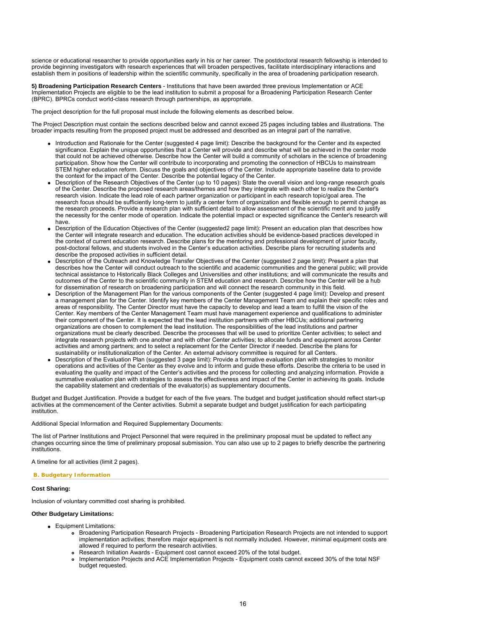science or educational researcher to provide opportunities early in his or her career. The postdoctoral research fellowship is intended to provide beginning investigators with research experiences that will broaden perspectives, facilitate interdisciplinary interactions and establish them in positions of leadership within the scientific community, specifically in the area of broadening participation research.

**5) Broadening Participation Research Centers** - Institutions that have been awarded three previous Implementation or ACE Implementation Projects are eligible to be the lead institution to submit a proposal for a Broadening Participation Research Center (BPRC). BPRCs conduct world-class research through partnerships, as appropriate.

The project description for the full proposal must include the following elements as described below.

The Project Description must contain the sections described below and cannot exceed 25 pages including tables and illustrations. The broader impacts resulting from the proposed project must be addressed and described as an integral part of the narrative.

- Introduction and Rationale for the Center (suggested 4 page limit): Describe the background for the Center and its expected significance. Explain the unique opportunities that a Center will provide and describe what will be achieved in the center mode that could not be achieved otherwise. Describe how the Center will build a community of scholars in the science of broadening participation. Show how the Center will contribute to incorporating and promoting the connection of HBCUs to mainstream STEM higher education reform. Discuss the goals and objectives of the Center. Include appropriate baseline data to provide the context for the impact of the Center. Describe the potential legacy of the Center.
- Description of the Research Objectives of the Center (up to 10 pages): State the overall vision and long-range research goals of the Center. Describe the proposed research areas/themes and how they integrate with each other to realize the Center's research vision. Indicate the lead role of each partner organization or participant in each research topic/goal area. The research focus should be sufficiently long-term to justify a center form of organization and flexible enough to permit change as the research proceeds. Provide a research plan with sufficient detail to allow assessment of the scientific merit and to justify the necessity for the center mode of operation. Indicate the potential impact or expected significance the Center's research will have.
- Description of the Education Objectives of the Center (suggested2 page limit): Present an education plan that describes how the Center will integrate research and education. The education activities should be evidence-based practices developed in the context of current education research. Describe plans for the mentoring and professional development of junior faculty, post-doctoral fellows, and students involved in the Center's education activities. Describe plans for recruiting students and describe the proposed activities in sufficient detail.
- Description of the Outreach and Knowledge Transfer Objectives of the Center (suggested 2 page limit): Present a plan that describes how the Center will conduct outreach to the scientific and academic communities and the general public; will provide technical assistance to Historically Black Colleges and Universities and other institutions; and will communicate the results and outcomes of the Center to the scientific community in STEM education and research. Describe how the Center will be a hub for dissemination of research on broadening participation and will connect the research community in this field.
- Description of the Management Plan for the various components of the Center (suggested 4 page limit): Develop and present a management plan for the Center. Identify key members of the Center Management Team and explain their specific roles and areas of responsibility. The Center Director must have the capacity to develop and lead a team to fulfill the vision of the Center. Key members of the Center Management Team must have management experience and qualifications to administer their component of the Center. It is expected that the lead institution partners with other HBCUs; additional partnering organizations are chosen to complement the lead institution. The responsibilities of the lead institutions and partner organizations must be clearly described. Describe the processes that will be used to prioritize Center activities; to select and integrate research projects with one another and with other Center activities; to allocate funds and equipment across Center activities and among partners; and to select a replacement for the Center Director if needed. Describe the plans for sustainability or institutionalization of the Center. An external advisory committee is required for all Centers.
- Description of the Evaluation Plan (suggested 3 page limit): Provide a formative evaluation plan with strategies to monitor operations and activities of the Center as they evolve and to inform and guide these efforts. Describe the criteria to be used in evaluating the quality and impact of the Center's activities and the process for collecting and analyzing information. Provide a summative evaluation plan with strategies to assess the effectiveness and impact of the Center in achieving its goals. Include the capability statement and credentials of the evaluator(s) as supplementary documents.

Budget and Budget Justification. Provide a budget for each of the five years. The budget and budget justification should reflect start-up activities at the commencement of the Center activities. Submit a separate budget and budget justification for each participating institution.

Additional Special Information and Required Supplementary Documents:

The list of Partner Institutions and Project Personnel that were required in the preliminary proposal must be updated to reflect any changes occurring since the time of preliminary proposal submission. You can also use up to 2 pages to briefly describe the partnering institutions.

A timeline for all activities (limit 2 pages).

#### **B. Budgetary Information**

## **Cost Sharing:**

Inclusion of voluntary committed cost sharing is prohibited.

#### **Other Budgetary Limitations:**

- **•** Equipment Limitations:
	- Broadening Participation Research Projects Broadening Participation Research Projects are not intended to support implementation activities; therefore major equipment is not normally included. However, minimal equipment costs are allowed if required to perform the research activities.
	- Research Initiation Awards Equipment cost cannot exceed 20% of the total budget.
	- Implementation Projects and ACE Implementation Projects Equipment costs cannot exceed 30% of the total NSF budget requested.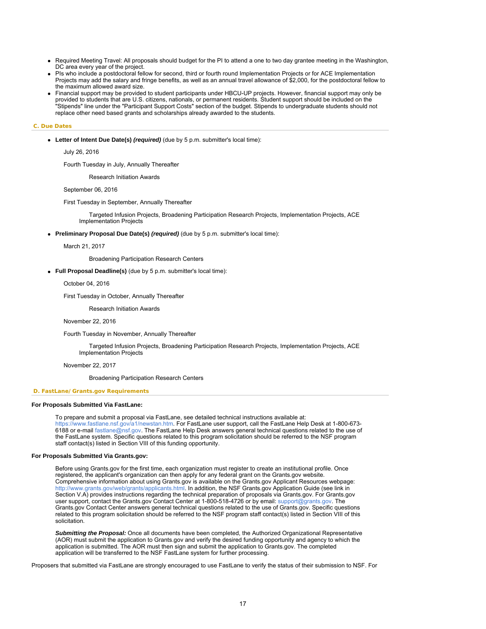- Required Meeting Travel: All proposals should budget for the PI to attend a one to two day grantee meeting in the Washington, DC area every year of the project.
- PIs who include a postdoctoral fellow for second, third or fourth round Implementation Projects or for ACE Implementation Projects may add the salary and fringe benefits, as well as an annual travel allowance of \$2,000, for the postdoctoral fellow to the maximum allowed award size.
- Financial support may be provided to student participants under HBCU-UP projects. However, financial support may only be provided to students that are U.S. citizens, nationals, or permanent residents. Student support should be included on the "Stipends" line under the "Participant Support Costs" section of the budget. Stipends to undergraduate students should not replace other need based grants and scholarships already awarded to the students.

#### **C. Due Dates**

**Letter of Intent Due Date(s)** *(required)* (due by 5 p.m. submitter's local time):

July 26, 2016

Fourth Tuesday in July, Annually Thereafter

Research Initiation Awards

September 06, 2016

First Tuesday in September, Annually Thereafter

 Targeted Infusion Projects, Broadening Participation Research Projects, Implementation Projects, ACE Implementation Projects

#### **Preliminary Proposal Due Date(s)** *(required)* (due by 5 p.m. submitter's local time):

March 21, 2017

Broadening Participation Research Centers

**Full Proposal Deadline(s)** (due by 5 p.m. submitter's local time):

October 04, 2016

First Tuesday in October, Annually Thereafter

Research Initiation Awards

November 22, 2016

Fourth Tuesday in November, Annually Thereafter

 Targeted Infusion Projects, Broadening Participation Research Projects, Implementation Projects, ACE Implementation Projects

November 22, 2017

Broadening Participation Research Centers

#### **D. FastLane/Grants.gov Requirements**

#### **For Proposals Submitted Via FastLane:**

To prepare and submit a proposal via FastLane, see detailed technical instructions available at: <https://www.fastlane.nsf.gov/a1/newstan.htm>. For FastLane user support, call the FastLane Help Desk at 1-800-673- 6188 or e-mail [fastlane@nsf.gov](mailto:fastlane@nsf.gov). The FastLane Help Desk answers general technical questions related to the use of the FastLane system. Specific questions related to this program solicitation should be referred to the NSF program staff contact(s) listed in Section VIII of this funding opportunity.

#### **For Proposals Submitted Via Grants.gov:**

Before using Grants.gov for the first time, each organization must register to create an institutional profile. Once registered, the applicant's organization can then apply for any federal grant on the Grants.gov website. Comprehensive information about using Grants.gov is available on the Grants.gov Applicant Resources webpage: [http://www.grants.gov/web/grants/applicants.html.](http://www.grants.gov/web/grants/applicants.html) In addition, the NSF Grants.gov Application Guide (see link in Section V.A) provides instructions regarding the technical preparation of proposals via Grants.gov. For Grants.gov user support, contact the Grants.gov Contact Center at 1-800-518-4726 or by email: [support@grants.gov.](mailto:support@grants.gov) The Grants.gov Contact Center answers general technical questions related to the use of Grants.gov. Specific questions related to this program solicitation should be referred to the NSF program staff contact(s) listed in Section VIII of this solicitation.

*Submitting the Proposal:* Once all documents have been completed, the Authorized Organizational Representative (AOR) must submit the application to Grants.gov and verify the desired funding opportunity and agency to which the application is submitted. The AOR must then sign and submit the application to Grants.gov. The completed application will be transferred to the NSF FastLane system for further processing.

Proposers that submitted via FastLane are strongly encouraged to use FastLane to verify the status of their submission to NSF. For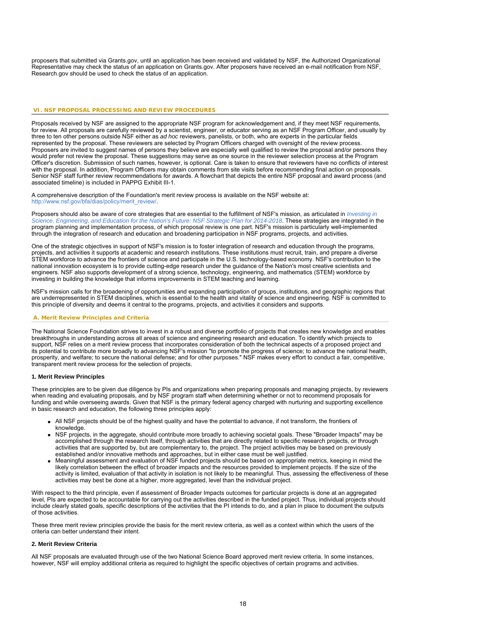proposers that submitted via Grants.gov, until an application has been received and validated by NSF, the Authorized Organizational Representative may check the status of an application on Grants.gov. After proposers have received an e-mail notification from NSF, Research.gov should be used to check the status of an application.

### **VI. NSF PROPOSAL PROCESSING AND REVIEW PROCEDURES**

Proposals received by NSF are assigned to the appropriate NSF program for acknowledgement and, if they meet NSF requirements, for review. All proposals are carefully reviewed by a scientist, engineer, or educator serving as an NSF Program Officer, and usually by three to ten other persons outside NSF either as *ad hoc* reviewers, panelists, or both, who are experts in the particular fields represented by the proposal. These reviewers are selected by Program Officers charged with oversight of the review process. Proposers are invited to suggest names of persons they believe are especially well qualified to review the proposal and/or persons they would prefer not review the proposal. These suggestions may serve as one source in the reviewer selection process at the Program Officer's discretion. Submission of such names, however, is optional. Care is taken to ensure that reviewers have no conflicts of interest with the proposal. In addition, Program Officers may obtain comments from site visits before recommending final action on proposals. Senior NSF staff further review recommendations for awards. A flowchart that depicts the entire NSF proposal and award process (and associated timeline) is included in PAPPG Exhibit III-1.

A comprehensive description of the Foundation's merit review process is available on the NSF website at: [http://www.nsf.gov/bfa/dias/policy/merit\\_review/.](http://www.nsf.gov/bfa/dias/policy/merit_review/)

Proposers should also be aware of core strategies that are essential to the fulfillment of NSF's mission, as articulated in *[Investing in](http://www.nsf.gov/publications/pub_summ.jsp?ods_key=nsf14043) [Science, Engineering, and Education for the Nation's Future: NSF Strategic Plan for 2014-2018](http://www.nsf.gov/publications/pub_summ.jsp?ods_key=nsf14043)*. These strategies are integrated in the program planning and implementation process, of which proposal review is one part. NSF's mission is particularly well-implemented through the integration of research and education and broadening participation in NSF programs, projects, and activities.

One of the strategic objectives in support of NSF's mission is to foster integration of research and education through the programs, projects, and activities it supports at academic and research institutions. These institutions must recruit, train, and prepare a diverse STEM workforce to advance the frontiers of science and participate in the U.S. technology-based economy. NSF's contribution to the national innovation ecosystem is to provide cutting-edge research under the guidance of the Nation's most creative scientists and engineers. NSF also supports development of a strong science, technology, engineering, and mathematics (STEM) workforce by investing in building the knowledge that informs improvements in STEM teaching and learning.

NSF's mission calls for the broadening of opportunities and expanding participation of groups, institutions, and geographic regions that are underrepresented in STEM disciplines, which is essential to the health and vitality of science and engineering. NSF is committed to this principle of diversity and deems it central to the programs, projects, and activities it considers and supports.

#### **A. Merit Review Principles and Criteria**

The National Science Foundation strives to invest in a robust and diverse portfolio of projects that creates new knowledge and enables breakthroughs in understanding across all areas of science and engineering research and education. To identify which projects to support, NSF relies on a merit review process that incorporates consideration of both the technical aspects of a proposed project and its potential to contribute more broadly to advancing NSF's mission "to promote the progress of science; to advance the national health, prosperity, and welfare; to secure the national defense; and for other purposes." NSF makes every effort to conduct a fair, competitive, transparent merit review process for the selection of projects.

#### **1. Merit Review Principles**

These principles are to be given due diligence by PIs and organizations when preparing proposals and managing projects, by reviewers when reading and evaluating proposals, and by NSF program staff when determining whether or not to recommend proposals for funding and while overseeing awards. Given that NSF is the primary federal agency charged with nurturing and supporting excellence in basic research and education, the following three principles apply:

- All NSF projects should be of the highest quality and have the potential to advance, if not transform, the frontiers of knowledge.
- NSF projects, in the aggregate, should contribute more broadly to achieving societal goals. These "Broader Impacts" may be accomplished through the research itself, through activities that are directly related to specific research projects, or through activities that are supported by, but are complementary to, the project. The project activities may be based on previously established and/or innovative methods and approaches, but in either case must be well justified.
- Meaningful assessment and evaluation of NSF funded projects should be based on appropriate metrics, keeping in mind the likely correlation between the effect of broader impacts and the resources provided to implement projects. If the size of the activity is limited, evaluation of that activity in isolation is not likely to be meaningful. Thus, assessing the effectiveness of these activities may best be done at a higher, more aggregated, level than the individual project.

With respect to the third principle, even if assessment of Broader Impacts outcomes for particular projects is done at an aggregated level, PIs are expected to be accountable for carrying out the activities described in the funded project. Thus, individual projects should include clearly stated goals, specific descriptions of the activities that the PI intends to do, and a plan in place to document the outputs of those activities.

These three merit review principles provide the basis for the merit review criteria, as well as a context within which the users of the criteria can better understand their intent.

#### **2. Merit Review Criteria**

All NSF proposals are evaluated through use of the two National Science Board approved merit review criteria. In some instances, however, NSF will employ additional criteria as required to highlight the specific objectives of certain programs and activities.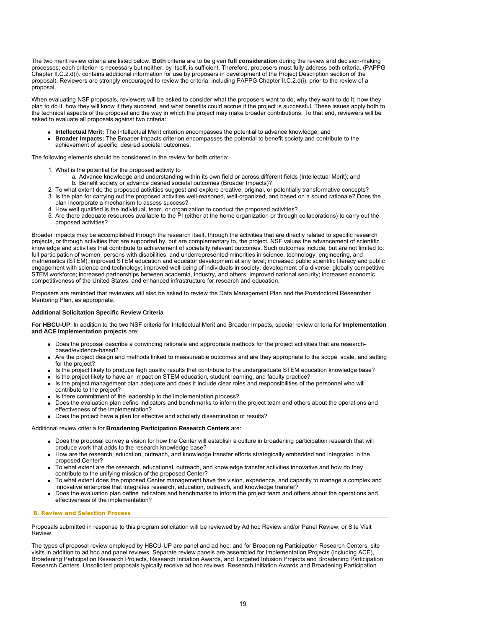The two merit review criteria are listed below. **Both** criteria are to be given **full consideration** during the review and decision-making processes; each criterion is necessary but neither, by itself, is sufficient. Therefore, proposers must fully address both criteria. (PAPPG Chapter II.C.2.d(i). contains additional information for use by proposers in development of the Project Description section of the proposal). Reviewers are strongly encouraged to review the criteria, including PAPPG Chapter II.C.2.d(i), prior to the review of a proposal.

When evaluating NSF proposals, reviewers will be asked to consider what the proposers want to do, why they want to do it, how they plan to do it, how they will know if they succeed, and what benefits could accrue if the project is successful. These issues apply both to the technical aspects of the proposal and the way in which the project may make broader contributions. To that end, reviewers will be asked to evaluate all proposals against two criteria:

- **Intellectual Merit:** The Intellectual Merit criterion encompasses the potential to advance knowledge; and
- **Broader Impacts:** The Broader Impacts criterion encompasses the potential to benefit society and contribute to the achievement of specific, desired societal outcomes.

The following elements should be considered in the review for both criteria:

- 1. What is the potential for the proposed activity to
	- a. Advance knowledge and understanding within its own field or across different fields (Intellectual Merit); and b. Benefit society or advance desired societal outcomes (Broader Impacts)?
- 2. To what extent do the proposed activities suggest and explore creative, original, or potentially transformative concepts?
- 3. Is the plan for carrying out the proposed activities well-reasoned, well-organized, and based on a sound rationale? Does the plan incorporate a mechanism to assess success?
- 4. How well qualified is the individual, team, or organization to conduct the proposed activities?
- 5. Are there adequate resources available to the PI (either at the home organization or through collaborations) to carry out the proposed activities?

Broader impacts may be accomplished through the research itself, through the activities that are directly related to specific research projects, or through activities that are supported by, but are complementary to, the project. NSF values the advancement of scientific knowledge and activities that contribute to achievement of societally relevant outcomes. Such outcomes include, but are not limited to: full participation of women, persons with disabilities, and underrepresented minorities in science, technology, engineering, and mathematics (STEM); improved STEM education and educator development at any level; increased public scientific literacy and public engagement with science and technology; improved well-being of individuals in society; development of a diverse, globally competitive STEM workforce; increased partnerships between academia, industry, and others; improved national security; increased economic competitiveness of the United States; and enhanced infrastructure for research and education.

Proposers are reminded that reviewers will also be asked to review the Data Management Plan and the Postdoctoral Researcher Mentoring Plan, as appropriate.

#### **Additional Solicitation Specific Review Criteria**

**For HBCU-UP**: In addition to the two NSF criteria for Intellectual Merit and Broader Impacts, special review criteria for **Implementation and ACE Implementation projects** are:

- Does the proposal describe a convincing rationale and appropriate methods for the project activities that are researchbased/evidence-based?
- Are the project design and methods linked to measureable outcomes and are they appropriate to the scope, scale, and setting for the project?
- Is the project likely to produce high quality results that contribute to the undergraduate STEM education knowledge base?
- Is the project likely to have an impact on STEM education, student learning, and faculty practice?
- Is the project management plan adequate and does it include clear roles and responsibilities of the personnel who will contribute to the project?
- Is there commitment of the leadership to the implementation process?
- Does the evaluation plan define indicators and benchmarks to inform the project team and others about the operations and effectiveness of the implementation?
- Does the project have a plan for effective and scholarly dissemination of results?

## Additional review criteria for **Broadening Participation Research Centers** are:

- Does the proposal convey a vision for how the Center will establish a culture in broadening participation research that will produce work that adds to the research knowledge base?
- How are the research, education, outreach, and knowledge transfer efforts strategically embedded and integrated in the proposed Center?
- To what extent are the research, educational, outreach, and knowledge transfer activities innovative and how do they contribute to the unifying mission of the proposed Center?
- To what extent does the proposed Center management have the vision, experience, and capacity to manage a complex and innovative enterprise that integrates research, education, outreach, and knowledge transfer?
- Does the evaluation plan define indicators and benchmarks to inform the project team and others about the operations and effectiveness of the implementation?

#### **B. Review and Selection Process**

Proposals submitted in response to this program solicitation will be reviewed by Ad hoc Review and/or Panel Review, or Site Visit Review.

The types of proposal review employed by HBCU-UP are panel and ad hoc; and for Broadening Participation Research Centers, site visits in addition to ad hoc and panel reviews. Separate review panels are assembled for Implementation Projects (including ACE), Broadening Participation Research Projects, Research Initiation Awards, and Targeted Infusion Projects and Broadening Participation Research Centers. Unsolicited proposals typically receive ad hoc reviews. Research Initiation Awards and Broadening Participation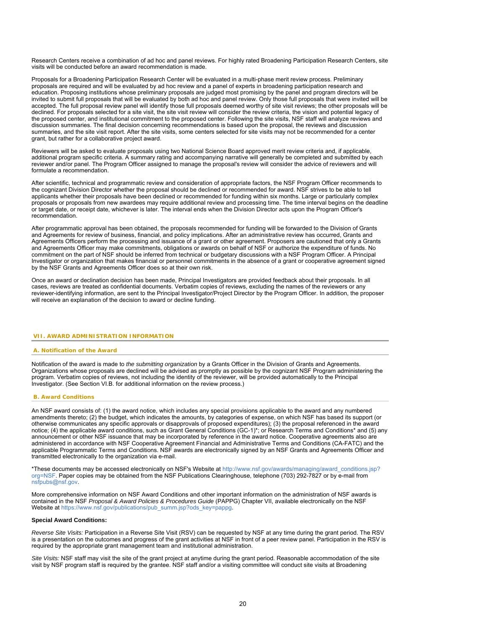Research Centers receive a combination of ad hoc and panel reviews. For highly rated Broadening Participation Research Centers, site visits will be conducted before an award recommendation is made.

Proposals for a Broadening Participation Research Center will be evaluated in a multi-phase merit review process. Preliminary proposals are required and will be evaluated by ad hoc review and a panel of experts in broadening participation research and education. Proposing institutions whose preliminary proposals are judged most promising by the panel and program directors will be invited to submit full proposals that will be evaluated by both ad hoc and panel review. Only those full proposals that were invited will be accepted. The full proposal review panel will identify those full proposals deemed worthy of site visit reviews; the other proposals will be declined. For proposals selected for a site visit, the site visit review will consider the review criteria, the vision and potential legacy of the proposed center, and institutional commitment to the proposed center. Following the site visits, NSF staff will analyze reviews and discussion summaries. The final decision concerning recommendations is based upon the proposal, the reviews and discussion summaries, and the site visit report. After the site visits, some centers selected for site visits may not be recommended for a center grant, but rather for a collaborative project award.

Reviewers will be asked to evaluate proposals using two National Science Board approved merit review criteria and, if applicable, additional program specific criteria. A summary rating and accompanying narrative will generally be completed and submitted by each reviewer and/or panel. The Program Officer assigned to manage the proposal's review will consider the advice of reviewers and will formulate a recommendation.

After scientific, technical and programmatic review and consideration of appropriate factors, the NSF Program Officer recommends to the cognizant Division Director whether the proposal should be declined or recommended for award. NSF strives to be able to tell applicants whether their proposals have been declined or recommended for funding within six months. Large or particularly complex proposals or proposals from new awardees may require additional review and processing time. The time interval begins on the deadline or target date, or receipt date, whichever is later. The interval ends when the Division Director acts upon the Program Officer's recommendation.

After programmatic approval has been obtained, the proposals recommended for funding will be forwarded to the Division of Grants and Agreements for review of business, financial, and policy implications. After an administrative review has occurred, Grants and Agreements Officers perform the processing and issuance of a grant or other agreement. Proposers are cautioned that only a Grants and Agreements Officer may make commitments, obligations or awards on behalf of NSF or authorize the expenditure of funds. No commitment on the part of NSF should be inferred from technical or budgetary discussions with a NSF Program Officer. A Principal Investigator or organization that makes financial or personnel commitments in the absence of a grant or cooperative agreement signed by the NSF Grants and Agreements Officer does so at their own risk.

Once an award or declination decision has been made, Principal Investigators are provided feedback about their proposals. In all cases, reviews are treated as confidential documents. Verbatim copies of reviews, excluding the names of the reviewers or any reviewer-identifying information, are sent to the Principal Investigator/Project Director by the Program Officer. In addition, the proposer will receive an explanation of the decision to award or decline funding.

#### **VII. AWARD ADMINISTRATION INFORMATION**

### **A. Notification of the Award**

Notification of the award is made to *the submitting organization* by a Grants Officer in the Division of Grants and Agreements. Organizations whose proposals are declined will be advised as promptly as possible by the cognizant NSF Program administering the program. Verbatim copies of reviews, not including the identity of the reviewer, will be provided automatically to the Principal Investigator. (See Section VI.B. for additional information on the review process.)

#### **B. Award Conditions**

An NSF award consists of: (1) the award notice, which includes any special provisions applicable to the award and any numbered amendments thereto; (2) the budget, which indicates the amounts, by categories of expense, on which NSF has based its support (or otherwise communicates any specific approvals or disapprovals of proposed expenditures); (3) the proposal referenced in the award notice; (4) the applicable award conditions, such as Grant General Conditions (GC-1)\*; or Research Terms and Conditions\* and (5) any announcement or other NSF issuance that may be incorporated by reference in the award notice. Cooperative agreements also are administered in accordance with NSF Cooperative Agreement Financial and Administrative Terms and Conditions (CA-FATC) and the applicable Programmatic Terms and Conditions. NSF awards are electronically signed by an NSF Grants and Agreements Officer and transmitted electronically to the organization via e-mail.

\*These documents may be accessed electronically on NSF's Website at [http://www.nsf.gov/awards/managing/award\\_conditions.jsp?](http://www.nsf.gov/awards/managing/award_conditions.jsp?org=NSF) [org=NSF.](http://www.nsf.gov/awards/managing/award_conditions.jsp?org=NSF) Paper copies may be obtained from the NSF Publications Clearinghouse, telephone (703) 292-7827 or by e-mail from [nsfpubs@nsf.gov.](mailto:nsfpubs@nsf.gov)

More comprehensive information on NSF Award Conditions and other important information on the administration of NSF awards is contained in the NSF *Proposal & Award Policies & Procedures Guide* (PAPPG) Chapter VII, available electronically on the NSF Website at [https://www.nsf.gov/publications/pub\\_summ.jsp?ods\\_key=pappg](https://www.nsf.gov/publications/pub_summ.jsp?ods_key=pappg).

#### **Special Award Conditions:**

*Reverse Site Visits:* Participation in a Reverse Site Visit (RSV) can be requested by NSF at any time during the grant period. The RSV is a presentation on the outcomes and progress of the grant activities at NSF in front of a peer review panel. Participation in the RSV is required by the appropriate grant management team and institutional administration.

*Site Visits:* NSF staff may visit the site of the grant project at anytime during the grant period. Reasonable accommodation of the site visit by NSF program staff is required by the grantee. NSF staff and/or a visiting committee will conduct site visits at Broadening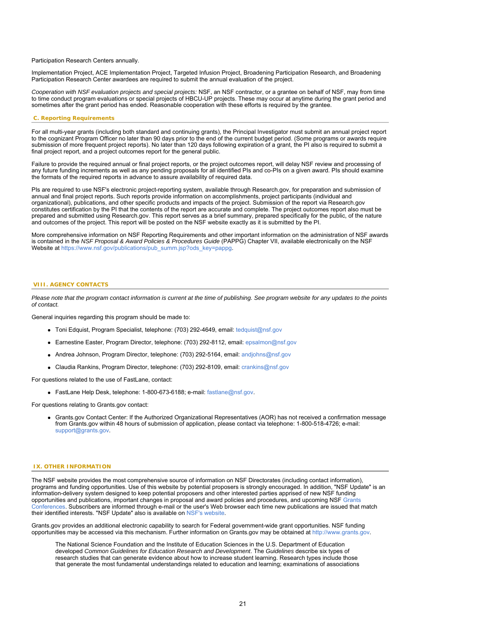Participation Research Centers annually.

Implementation Project, ACE Implementation Project, Targeted Infusion Project, Broadening Participation Research, and Broadening Participation Research Center awardees are required to submit the annual evaluation of the project.

*Cooperation with NSF evaluation projects and special projects:* NSF, an NSF contractor, or a grantee on behalf of NSF, may from time to time conduct program evaluations or special projects of HBCU-UP projects. These may occur at anytime during the grant period and sometimes after the grant period has ended. Reasonable cooperation with these efforts is required by the grantee.

#### **C. Reporting Requirements**

For all multi-year grants (including both standard and continuing grants), the Principal Investigator must submit an annual project report to the cognizant Program Officer no later than 90 days prior to the end of the current budget period. (Some programs or awards require submission of more frequent project reports). No later than 120 days following expiration of a grant, the PI also is required to submit a final project report, and a project outcomes report for the general public.

Failure to provide the required annual or final project reports, or the project outcomes report, will delay NSF review and processing of any future funding increments as well as any pending proposals for all identified PIs and co-PIs on a given award. PIs should examine the formats of the required reports in advance to assure availability of required data.

PIs are required to use NSF's electronic project-reporting system, available through Research.gov, for preparation and submission of annual and final project reports. Such reports provide information on accomplishments, project participants (individual and organizational), publications, and other specific products and impacts of the project. Submission of the report via Research.gov constitutes certification by the PI that the contents of the report are accurate and complete. The project outcomes report also must be prepared and submitted using Research.gov. This report serves as a brief summary, prepared specifically for the public, of the nature and outcomes of the project. This report will be posted on the NSF website exactly as it is submitted by the PI.

More comprehensive information on NSF Reporting Requirements and other important information on the administration of NSF awards is contained in the *NSF Proposal & Award Policies & Procedures Guide* (PAPPG) Chapter VII, available electronically on the NSF Website at [https://www.nsf.gov/publications/pub\\_summ.jsp?ods\\_key=pappg](https://www.nsf.gov/publications/pub_summ.jsp?ods_key=pappg).

#### **VIII. AGENCY CONTACTS**

*Please note that the program contact information is current at the time of publishing. See program website for any updates to the points of contact.*

General inquiries regarding this program should be made to:

- Toni Edquist, Program Specialist, telephone: (703) 292-4649, email: [tedquist@nsf.gov](mailto:tedquist@nsf.gov)
- Earnestine Easter, Program Director, telephone: (703) 292-8112, email: [epsalmon@nsf.gov](mailto:epsalmon@nsf.gov)
- Andrea Johnson, Program Director, telephone: (703) 292-5164, email: [andjohns@nsf.gov](mailto:andjohns@nsf.gov)
- Claudia Rankins, Program Director, telephone: (703) 292-8109, email: [crankins@nsf.gov](mailto:crankins@nsf.gov)

For questions related to the use of FastLane, contact:

- FastLane Help Desk, telephone: 1-800-673-6188; e-mail: [fastlane@nsf.gov](mailto:fastlane@nsf.gov).
- For questions relating to Grants.gov contact:
	- Grants.gov Contact Center: If the Authorized Organizational Representatives (AOR) has not received a confirmation message from Grants.gov within 48 hours of submission of application, please contact via telephone: 1-800-518-4726; e-mail: [support@grants.gov.](mailto:support@grants.gov)

#### **IX. OTHER INFORMATION**

The NSF website provides the most comprehensive source of information on NSF Directorates (including contact information), programs and funding opportunities. Use of this website by potential proposers is strongly encouraged. In addition, "NSF Update" is an information-delivery system designed to keep potential proposers and other interested parties apprised of new NSF funding opportunities and publications, important changes in proposal and award policies and procedures, and upcoming NSF [Grants](http://www.nsf.gov/bfa/dias/policy/outreach.jsp) [Conferences](http://www.nsf.gov/bfa/dias/policy/outreach.jsp). Subscribers are informed through e-mail or the user's Web browser each time new publications are issued that match their identified interests. "NSF Update" also is available on [NSF's website](https://www.nsf.gov/cgi-bin/goodbye?https://public.govdelivery.com/accounts/USNSF/subscriber/new?topic_id=USNSF_179).

Grants.gov provides an additional electronic capability to search for Federal government-wide grant opportunities. NSF funding opportunities may be accessed via this mechanism. Further information on Grants.gov may be obtained at [http://www.grants.gov](http://www.grants.gov/).

The National Science Foundation and the Institute of Education Sciences in the U.S. Department of Education developed *Common Guidelines for Education Research and Development*. The *Guidelines* describe six types of research studies that can generate evidence about how to increase student learning. Research types include those that generate the most fundamental understandings related to education and learning; examinations of associations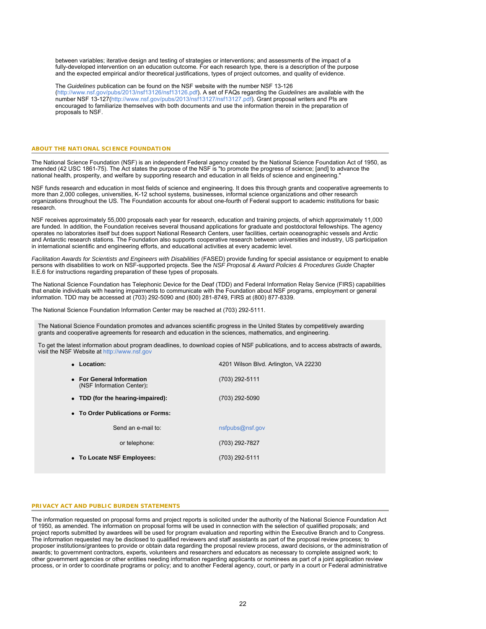between variables; iterative design and testing of strategies or interventions; and assessments of the impact of a fully-developed intervention on an education outcome. For each research type, there is a description of the purpose and the expected empirical and/or theoretical justifications, types of project outcomes, and quality of evidence.

The *Guidelines* publication can be found on the NSF website with the number NSF 13-126 [\(http://www.nsf.gov/pubs/2013/nsf13126/nsf13126.pdf](http://www.nsf.gov/pubs/2013/nsf13126/nsf13126.pdf)). A set of FAQs regarding the *Guidelines* are available with the number NSF 13-127[\(http://www.nsf.gov/pubs/2013/nsf13127/nsf13127.pdf](http://www.nsf.gov/pubs/2013/nsf13127/nsf13127.pdf)). Grant proposal writers and PIs are encouraged to familiarize themselves with both documents and use the information therein in the preparation of proposals to NSF.

#### **ABOUT THE NATIONAL SCIENCE FOUNDATION**

The National Science Foundation (NSF) is an independent Federal agency created by the National Science Foundation Act of 1950, as amended (42 USC 1861-75). The Act states the purpose of the NSF is "to promote the progress of science; [and] to advance the national health, prosperity, and welfare by supporting research and education in all fields of science and engineering."

NSF funds research and education in most fields of science and engineering. It does this through grants and cooperative agreements to more than 2,000 colleges, universities, K-12 school systems, businesses, informal science organizations and other research organizations throughout the US. The Foundation accounts for about one-fourth of Federal support to academic institutions for basic research.

NSF receives approximately 55,000 proposals each year for research, education and training projects, of which approximately 11,000 are funded. In addition, the Foundation receives several thousand applications for graduate and postdoctoral fellowships. The agency operates no laboratories itself but does support National Research Centers, user facilities, certain oceanographic vessels and Arctic and Antarctic research stations. The Foundation also supports cooperative research between universities and industry, US participation in international scientific and engineering efforts, and educational activities at every academic level.

*Facilitation Awards for Scientists and Engineers with Disabilities* (FASED) provide funding for special assistance or equipment to enable persons with disabilities to work on NSF-supported projects. See the *NSF Proposal & Award Policies & Procedures Guide* Chapter II.E.6 for instructions regarding preparation of these types of proposals.

The National Science Foundation has Telephonic Device for the Deaf (TDD) and Federal Information Relay Service (FIRS) capabilities that enable individuals with hearing impairments to communicate with the Foundation about NSF programs, employment or general information. TDD may be accessed at (703) 292-5090 and (800) 281-8749, FIRS at (800) 877-8339.

The National Science Foundation Information Center may be reached at (703) 292-5111.

The National Science Foundation promotes and advances scientific progress in the United States by competitively awarding grants and cooperative agreements for research and education in the sciences, mathematics, and engineering.

To get the latest information about program deadlines, to download copies of NSF publications, and to access abstracts of awards, visit the NSF Website at [http://www.nsf.gov](http://www.nsf.gov/)

| • Location:                                            | 4201 Wilson Blvd. Arlington, VA 22230 |  |  |  |  |  |  |
|--------------------------------------------------------|---------------------------------------|--|--|--|--|--|--|
| • For General Information<br>(NSF Information Center): | (703) 292-5111                        |  |  |  |  |  |  |
| • TDD (for the hearing-impaired):                      | (703) 292-5090                        |  |  |  |  |  |  |
| • To Order Publications or Forms:                      |                                       |  |  |  |  |  |  |
| Send an e-mail to:                                     | nsfpubs@nsf.gov                       |  |  |  |  |  |  |
| or telephone:                                          | (703) 292-7827                        |  |  |  |  |  |  |
| • To Locate NSF Employees:                             | (703) 292-5111                        |  |  |  |  |  |  |
|                                                        |                                       |  |  |  |  |  |  |

## **PRIVACY ACT AND PUBLIC BURDEN STATEMENTS**

The information requested on proposal forms and project reports is solicited under the authority of the National Science Foundation Act of 1950, as amended. The information on proposal forms will be used in connection with the selection of qualified proposals; and project reports submitted by awardees will be used for program evaluation and reporting within the Executive Branch and to Congress. The information requested may be disclosed to qualified reviewers and staff assistants as part of the proposal review process; to proposer institutions/grantees to provide or obtain data regarding the proposal review process, award decisions, or the administration of awards; to government contractors, experts, volunteers and researchers and educators as necessary to complete assigned work; to other government agencies or other entities needing information regarding applicants or nominees as part of a joint application review process, or in order to coordinate programs or policy; and to another Federal agency, court, or party in a court or Federal administrative